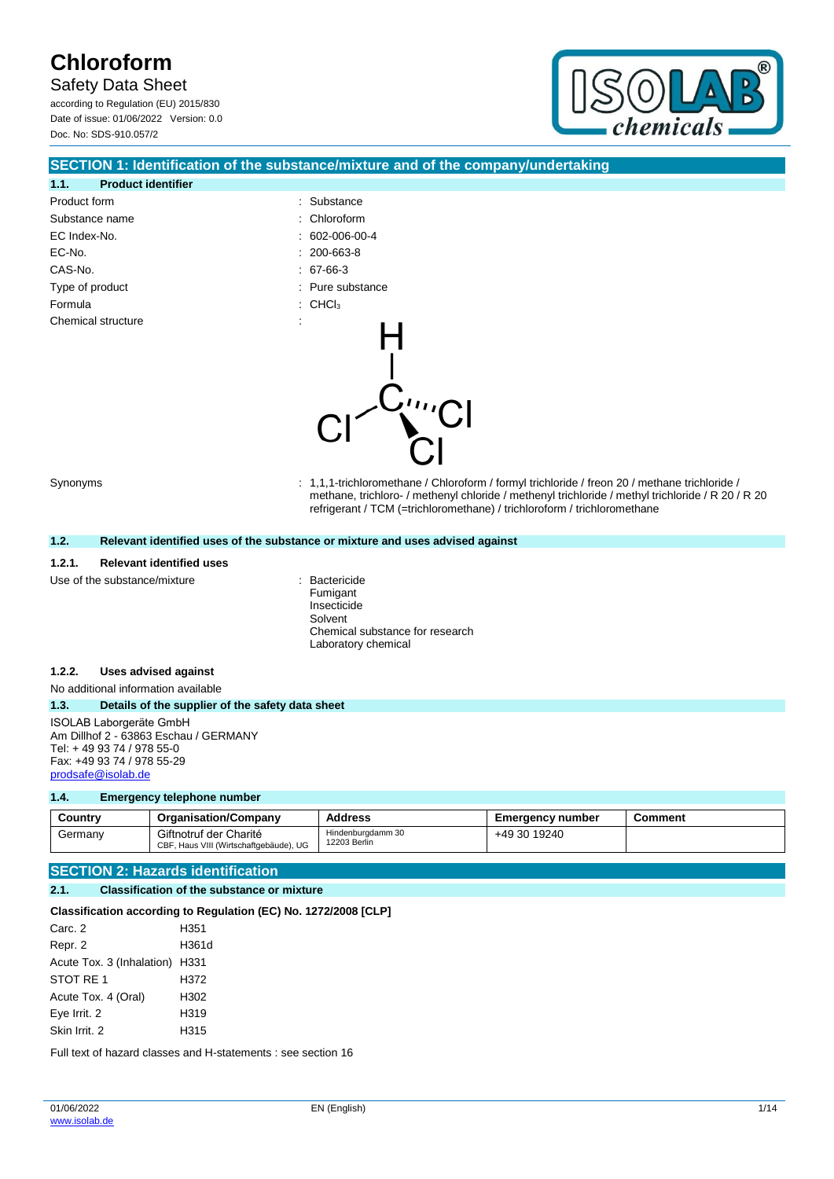Safety Data Sheet

according to Regulation (EU) 2015/830 Date of issue: 01/06/2022 Version: 0.0 Doc. No: SDS-910.057/2



## **SECTION 1: Identification of the substance/mixture and of the company/undertaking**

CĽ

| 1.1.               | <b>Product identifier</b> |                |                                |
|--------------------|---------------------------|----------------|--------------------------------|
| Product form       |                           | t.             | Substance                      |
| Substance name     |                           |                | : Chloroform                   |
| EC Index-No.       |                           | t.             | 602-006-00-4                   |
| EC-No.             |                           |                | $: 200 - 663 - 8$              |
| CAS-No.            |                           |                | $.67-66-3$                     |
| Type of product    |                           |                | : Pure substance               |
| Formula            |                           |                | $\therefore$ CHCl <sub>3</sub> |
| Chemical structure |                           | $\bullet$<br>÷ |                                |

Synonyms : 1,1,1-trichloromethane / Chloroform / formyl trichloride / freon 20 / methane trichloride / methane, trichloro- / methenyl chloride / methenyl trichloride / methyl trichloride / R 20 / R 20 refrigerant / TCM (=trichloromethane) / trichloroform / trichloromethane

#### **1.2. Relevant identified uses of the substance or mixture and uses advised against**

#### **1.2.1. Relevant identified uses**

Use of the substance/mixture **interest and the substance/mixture**  $\cdot$  Bactericide

Fumigant Insecticide Solvent Chemical substance for research Laboratory chemical

#### **1.2.2. Uses advised against**

No additional information available

#### **1.3. Details of the supplier of the safety data sheet**

ISOLAB Laborgeräte GmbH Am Dillhof 2 - 63863 Eschau / GERMANY Tel: + 49 93 74 / 978 55-0 Fax: +49 93 74 / 978 55-29 [prodsafe@isolab.de](mailto:prodsafe@isolab.de)

#### **1.4. Emergency telephone number**

| Countrv | <b>Organisation/Company</b>                                      | <b>Address</b>                    | <b>Emergency number</b> | こomment |
|---------|------------------------------------------------------------------|-----------------------------------|-------------------------|---------|
| Germanv | Giftnotruf der Charité<br>CBF, Haus VIII (Wirtschaftgebäude), UG | Hindenburgdamm 30<br>12203 Berlin | +49 30 19240            |         |

### **SECTION 2: Hazards identification**

#### **2.1. Classification of the substance or mixture**

#### **Classification according to Regulation (EC) No. 1272/2008 [CLP]**

| Carc. 2                        | H351  |
|--------------------------------|-------|
| Repr. 2                        | H361d |
| Acute Tox. 3 (Inhalation) H331 |       |
| STOT RE 1                      | H372  |
| Acute Tox. 4 (Oral)            | H302  |
| Eye Irrit. 2                   | H319  |
| Skin Irrit, 2                  | H315  |

Full text of hazard classes and H-statements : see section 16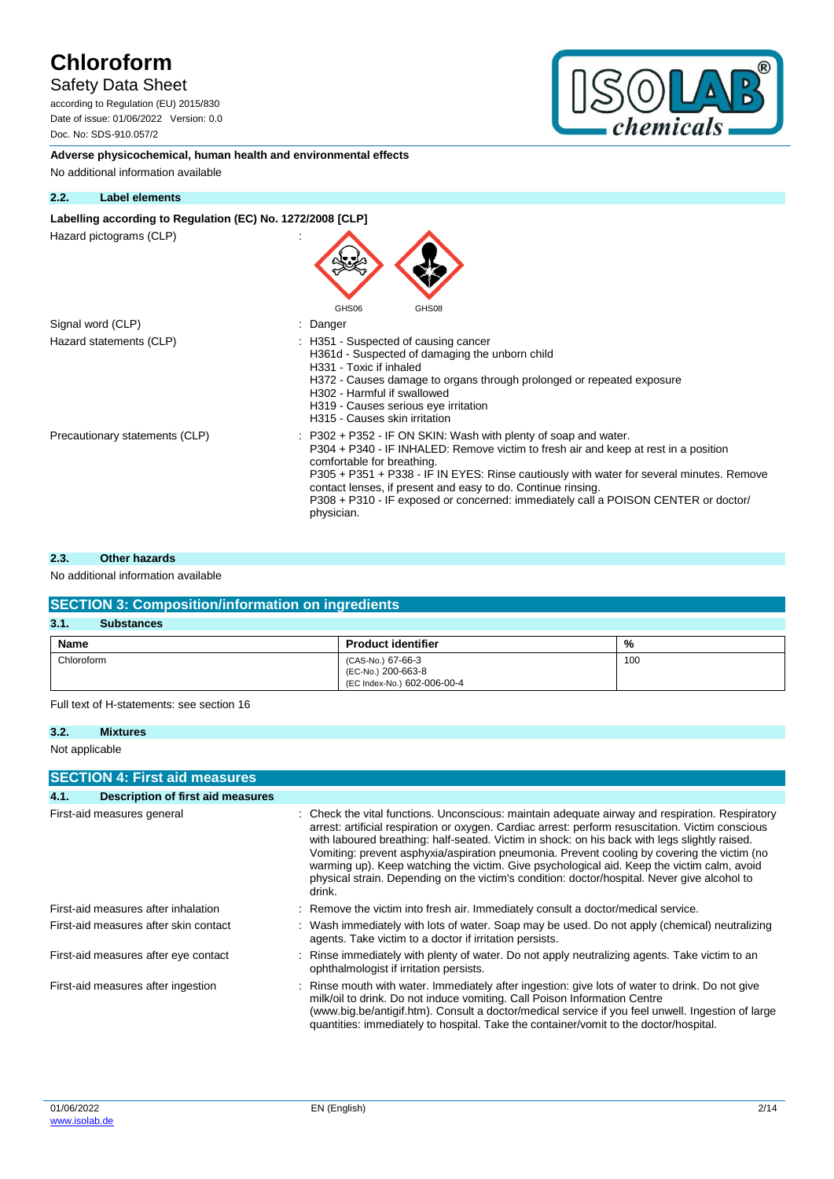## Safety Data Sheet

according to Regulation (EU) 2015/830 Date of issue: 01/06/2022 Version: 0.0 Doc. No: SDS-910.057/2



**Adverse physicochemical, human health and environmental effects** No additional information available

### **2.2. Label elements**

### Labelling according to Regulation (EC) No. 1272/2008 [CLP]

Hazard pictograms (CLP) :

| Hazaru pictugrafijs (ULF)      | GHS06<br>GHS08                                                                                                                                                                                                                                                                                                                                                                                                                                       |
|--------------------------------|------------------------------------------------------------------------------------------------------------------------------------------------------------------------------------------------------------------------------------------------------------------------------------------------------------------------------------------------------------------------------------------------------------------------------------------------------|
| Signal word (CLP)              | Danger                                                                                                                                                                                                                                                                                                                                                                                                                                               |
| Hazard statements (CLP)        | : H351 - Suspected of causing cancer<br>H361d - Suspected of damaging the unborn child<br>H331 - Toxic if inhaled<br>H372 - Causes damage to organs through prolonged or repeated exposure<br>H302 - Harmful if swallowed<br>H319 - Causes serious eye irritation<br>H315 - Causes skin irritation                                                                                                                                                   |
| Precautionary statements (CLP) | $: P302 + P352$ IF ON SKIN: Wash with plenty of soap and water.<br>P304 + P340 - IF INHALED: Remove victim to fresh air and keep at rest in a position<br>comfortable for breathing.<br>P305 + P351 + P338 - IF IN EYES: Rinse cautiously with water for several minutes. Remove<br>contact lenses, if present and easy to do. Continue rinsing.<br>P308 + P310 - IF exposed or concerned: immediately call a POISON CENTER or doctor/<br>physician. |

 $\blacktriangle$ 

#### **2.3. Other hazards**

### No additional information available

| <b>SECTION 3: Composition/information on ingredients</b> |                                                                        |     |  |  |
|----------------------------------------------------------|------------------------------------------------------------------------|-----|--|--|
| 3.1.<br><b>Substances</b>                                |                                                                        |     |  |  |
| <b>Name</b>                                              | <b>Product identifier</b>                                              | %   |  |  |
| Chloroform                                               | (CAS-No.) 67-66-3<br>(EC-No.) 200-663-8<br>(EC Index-No.) 602-006-00-4 | 100 |  |  |

Full text of H-statements: see section 16

#### **3.2. Mixtures**

Not applicable

|                            | <b>SECTION 4: First aid measures</b>  |  |                                                                                                                                                                                                                                                                                                                                                                                                                                                                                                                                                                                                            |  |  |
|----------------------------|---------------------------------------|--|------------------------------------------------------------------------------------------------------------------------------------------------------------------------------------------------------------------------------------------------------------------------------------------------------------------------------------------------------------------------------------------------------------------------------------------------------------------------------------------------------------------------------------------------------------------------------------------------------------|--|--|
| 4.1.                       | Description of first aid measures     |  |                                                                                                                                                                                                                                                                                                                                                                                                                                                                                                                                                                                                            |  |  |
| First-aid measures general |                                       |  | Check the vital functions. Unconscious: maintain adequate airway and respiration. Respiratory<br>arrest: artificial respiration or oxygen. Cardiac arrest: perform resuscitation. Victim conscious<br>with laboured breathing: half-seated. Victim in shock: on his back with legs slightly raised.<br>Vomiting: prevent asphyxia/aspiration pneumonia. Prevent cooling by covering the victim (no<br>warming up). Keep watching the victim. Give psychological aid. Keep the victim calm, avoid<br>physical strain. Depending on the victim's condition: doctor/hospital. Never give alcohol to<br>drink. |  |  |
|                            | First-aid measures after inhalation   |  | Remove the victim into fresh air. Immediately consult a doctor/medical service.                                                                                                                                                                                                                                                                                                                                                                                                                                                                                                                            |  |  |
|                            | First-aid measures after skin contact |  | Wash immediately with lots of water. Soap may be used. Do not apply (chemical) neutralizing<br>agents. Take victim to a doctor if irritation persists.                                                                                                                                                                                                                                                                                                                                                                                                                                                     |  |  |
|                            | First-aid measures after eye contact  |  | : Rinse immediately with plenty of water. Do not apply neutralizing agents. Take victim to an<br>ophthalmologist if irritation persists.                                                                                                                                                                                                                                                                                                                                                                                                                                                                   |  |  |
|                            | First-aid measures after ingestion    |  | Rinse mouth with water. Immediately after ingestion: give lots of water to drink. Do not give<br>milk/oil to drink. Do not induce vomiting. Call Poison Information Centre<br>(www.big.be/antigif.htm). Consult a doctor/medical service if you feel unwell. Ingestion of large<br>quantities: immediately to hospital. Take the container/vomit to the doctor/hospital.                                                                                                                                                                                                                                   |  |  |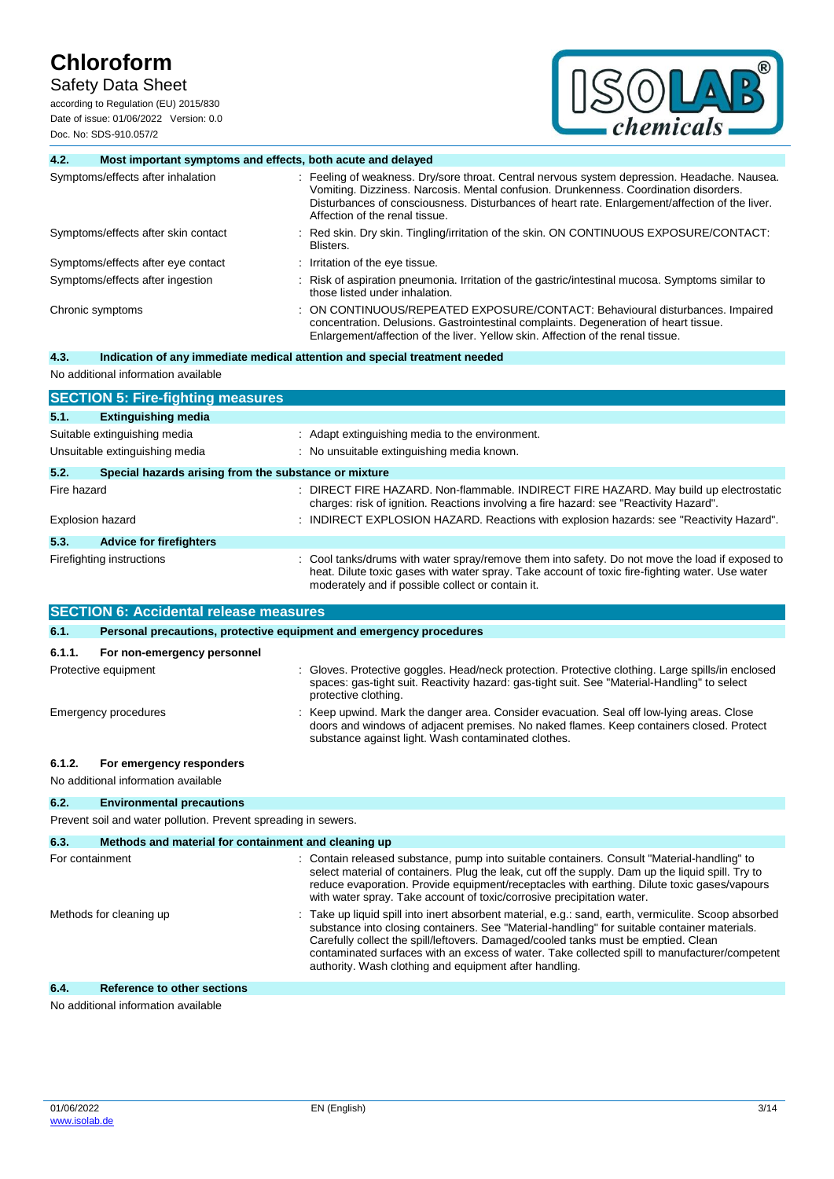## Safety Data Sheet

according to Regulation (EU) 2015/830 Date of issue: 01/06/2022 Version: 0.0 Doc. No: SDS-910.057/2



| 4.2.             | Most important symptoms and effects, both acute and delayed |                                                                                                                                                                                                                                                                                                                           |  |
|------------------|-------------------------------------------------------------|---------------------------------------------------------------------------------------------------------------------------------------------------------------------------------------------------------------------------------------------------------------------------------------------------------------------------|--|
|                  | Symptoms/effects after inhalation                           | : Feeling of weakness. Dry/sore throat. Central nervous system depression. Headache. Nausea.<br>Vomiting. Dizziness. Narcosis. Mental confusion. Drunkenness. Coordination disorders.<br>Disturbances of consciousness. Disturbances of heart rate. Enlargement/affection of the liver.<br>Affection of the renal tissue. |  |
|                  | Symptoms/effects after skin contact                         | Red skin. Dry skin. Tingling/irritation of the skin. ON CONTINUOUS EXPOSURE/CONTACT:<br>Blisters.                                                                                                                                                                                                                         |  |
|                  | Symptoms/effects after eye contact                          | : Irritation of the eye tissue.                                                                                                                                                                                                                                                                                           |  |
|                  | Symptoms/effects after ingestion                            | Risk of aspiration pneumonia. Irritation of the gastric/intestinal mucosa. Symptoms similar to<br>those listed under inhalation.                                                                                                                                                                                          |  |
| Chronic symptoms |                                                             | ON CONTINUOUS/REPEATED EXPOSURE/CONTACT: Behavioural disturbances. Impaired<br>concentration. Delusions. Gastrointestinal complaints. Degeneration of heart tissue.<br>Enlargement/affection of the liver. Yellow skin. Affection of the renal tissue.                                                                    |  |
| 4.3.             |                                                             | Indication of any immediate medical attention and special treatment needed                                                                                                                                                                                                                                                |  |
|                  | No additional information available                         |                                                                                                                                                                                                                                                                                                                           |  |
|                  | <b>SECTION 5: Fire-fighting measures</b>                    |                                                                                                                                                                                                                                                                                                                           |  |
| 5.1.             | <b>Extinguishing media</b>                                  |                                                                                                                                                                                                                                                                                                                           |  |
|                  | Suitable extinguishing media                                | Adapt extinguishing media to the environment.                                                                                                                                                                                                                                                                             |  |
|                  | Unsuitable extinguishing media                              | : No unsuitable extinguishing media known.                                                                                                                                                                                                                                                                                |  |
| 5.2.             | Special hazards arising from the substance or mixture       |                                                                                                                                                                                                                                                                                                                           |  |
| Fire hazard      |                                                             | : DIRECT FIRE HAZARD. Non-flammable. INDIRECT FIRE HAZARD. May build up electrostatic<br>charges: risk of ignition. Reactions involving a fire hazard: see "Reactivity Hazard".                                                                                                                                           |  |
|                  | Explosion hazard                                            | : INDIRECT EXPLOSION HAZARD. Reactions with explosion hazards: see "Reactivity Hazard".                                                                                                                                                                                                                                   |  |
| 5.3.             | <b>Advice for firefighters</b>                              |                                                                                                                                                                                                                                                                                                                           |  |
|                  | Firefighting instructions                                   | Cool tanks/drums with water spray/remove them into safety. Do not move the load if exposed to<br>heat. Dilute toxic gases with water spray. Take account of toxic fire-fighting water. Use water<br>moderately and if possible collect or contain it.                                                                     |  |
|                  | <b>SECTION 6: Accidental release measures</b>               |                                                                                                                                                                                                                                                                                                                           |  |
| 6.1.             |                                                             | Personal precautions, protective equipment and emergency procedures                                                                                                                                                                                                                                                       |  |

| 6.1.                    | Personal precautions, protective equipment and emergency procedures |  |                                                                                                                                                                                                                                                                                                                                                                                                                                                     |  |
|-------------------------|---------------------------------------------------------------------|--|-----------------------------------------------------------------------------------------------------------------------------------------------------------------------------------------------------------------------------------------------------------------------------------------------------------------------------------------------------------------------------------------------------------------------------------------------------|--|
| 6.1.1.                  | For non-emergency personnel                                         |  |                                                                                                                                                                                                                                                                                                                                                                                                                                                     |  |
|                         | Protective equipment                                                |  | Gloves. Protective goggles. Head/neck protection. Protective clothing. Large spills/in enclosed<br>spaces: gas-tight suit. Reactivity hazard: gas-tight suit. See "Material-Handling" to select<br>protective clothing.                                                                                                                                                                                                                             |  |
| Emergency procedures    |                                                                     |  | Keep upwind. Mark the danger area. Consider evacuation. Seal off low-lying areas. Close<br>doors and windows of adjacent premises. No naked flames. Keep containers closed. Protect<br>substance against light. Wash contaminated clothes.                                                                                                                                                                                                          |  |
| 6.1.2.                  | For emergency responders                                            |  |                                                                                                                                                                                                                                                                                                                                                                                                                                                     |  |
|                         | No additional information available                                 |  |                                                                                                                                                                                                                                                                                                                                                                                                                                                     |  |
| 6.2.                    | <b>Environmental precautions</b>                                    |  |                                                                                                                                                                                                                                                                                                                                                                                                                                                     |  |
|                         | Prevent soil and water pollution. Prevent spreading in sewers.      |  |                                                                                                                                                                                                                                                                                                                                                                                                                                                     |  |
| 6.3.                    | Methods and material for containment and cleaning up                |  |                                                                                                                                                                                                                                                                                                                                                                                                                                                     |  |
| For containment         |                                                                     |  | : Contain released substance, pump into suitable containers. Consult "Material-handling" to<br>select material of containers. Plug the leak, cut off the supply. Dam up the liquid spill. Try to<br>reduce evaporation. Provide equipment/receptacles with earthing. Dilute toxic gases/vapours<br>with water spray. Take account of toxic/corrosive precipitation water.                                                                           |  |
| Methods for cleaning up |                                                                     |  | Take up liquid spill into inert absorbent material, e.g.: sand, earth, vermiculite. Scoop absorbed<br>substance into closing containers. See "Material-handling" for suitable container materials.<br>Carefully collect the spill/leftovers. Damaged/cooled tanks must be emptied. Clean<br>contaminated surfaces with an excess of water. Take collected spill to manufacturer/competent<br>authority. Wash clothing and equipment after handling. |  |

No additional information available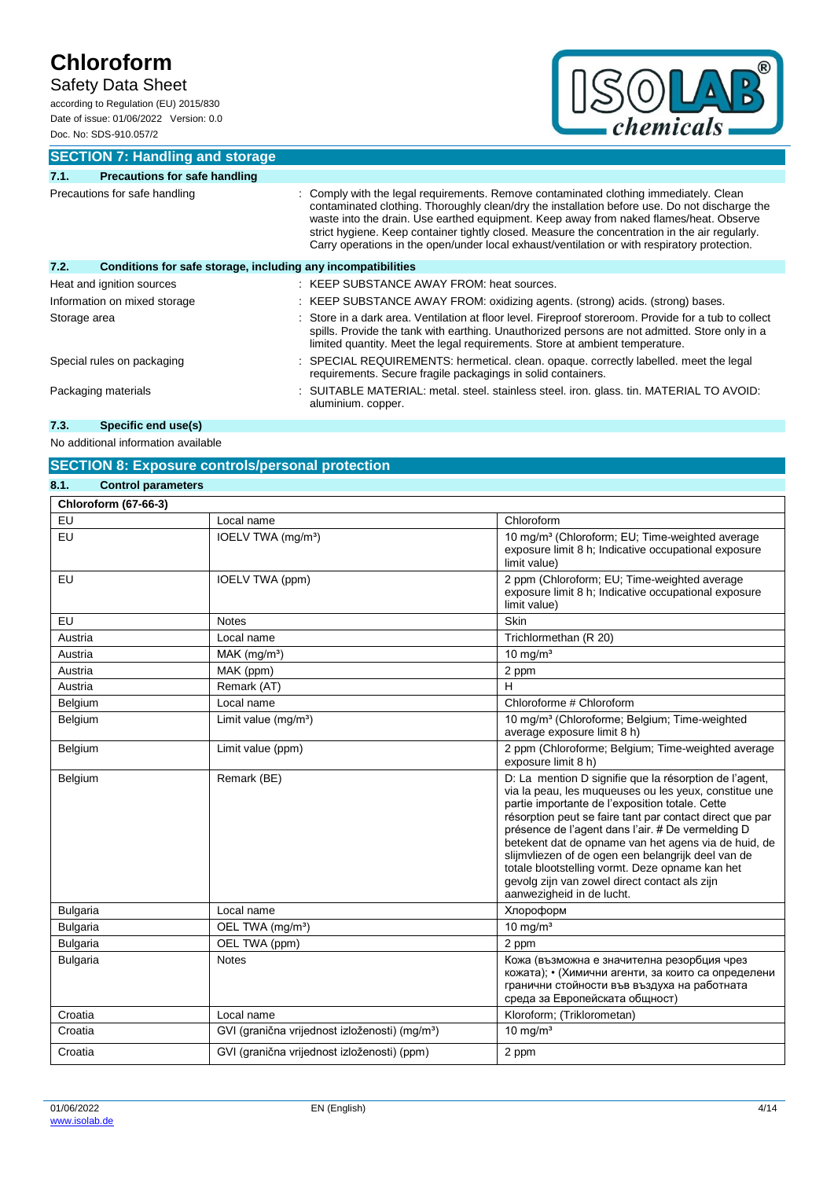## Safety Data Sheet

according to Regulation (EU) 2015/830 Date of issue: 01/06/2022 Version: 0.0 Doc. No: SDS-910.057/2



**SECTION 7: Handling and storage**

| 7.1.                          | <b>Precautions for safe handling</b>                         |                                                                                                                                                                                                                                                                                                                                                                                                                                                                                  |  |
|-------------------------------|--------------------------------------------------------------|----------------------------------------------------------------------------------------------------------------------------------------------------------------------------------------------------------------------------------------------------------------------------------------------------------------------------------------------------------------------------------------------------------------------------------------------------------------------------------|--|
| Precautions for safe handling |                                                              | Comply with the legal requirements. Remove contaminated clothing immediately. Clean<br>contaminated clothing. Thoroughly clean/dry the installation before use. Do not discharge the<br>waste into the drain. Use earthed equipment. Keep away from naked flames/heat. Observe<br>strict hygiene. Keep container tightly closed. Measure the concentration in the air regularly.<br>Carry operations in the open/under local exhaust/ventilation or with respiratory protection. |  |
| 7.2.                          | Conditions for safe storage, including any incompatibilities |                                                                                                                                                                                                                                                                                                                                                                                                                                                                                  |  |
|                               | Heat and ignition sources                                    | : KEEP SUBSTANCE AWAY FROM: heat sources.                                                                                                                                                                                                                                                                                                                                                                                                                                        |  |
| Information on mixed storage  |                                                              | : KEEP SUBSTANCE AWAY FROM: oxidizing agents. (strong) acids. (strong) bases.                                                                                                                                                                                                                                                                                                                                                                                                    |  |
| Storage area                  |                                                              | Store in a dark area. Ventilation at floor level. Fireproof storeroom. Provide for a tub to collect<br>spills. Provide the tank with earthing. Unauthorized persons are not admitted. Store only in a<br>limited quantity. Meet the legal requirements. Store at ambient temperature.                                                                                                                                                                                            |  |
|                               | Special rules on packaging                                   | : SPECIAL REQUIREMENTS: hermetical. clean. opaque. correctly labelled. meet the legal<br>requirements. Secure fragile packagings in solid containers.                                                                                                                                                                                                                                                                                                                            |  |
| Packaging materials           |                                                              | : SUITABLE MATERIAL: metal. steel. stainless steel. iron. glass. tin. MATERIAL TO AVOID:<br>aluminium. copper.                                                                                                                                                                                                                                                                                                                                                                   |  |

## **7.3. Specific end use(s)**

No additional information available

## **SECTION 8: Exposure controls/personal protection**

| 8.1.<br><b>Control parameters</b> |                                                            |                                                                                                                                                                                                                                                                                                                                                                                                                                                                                                                                    |
|-----------------------------------|------------------------------------------------------------|------------------------------------------------------------------------------------------------------------------------------------------------------------------------------------------------------------------------------------------------------------------------------------------------------------------------------------------------------------------------------------------------------------------------------------------------------------------------------------------------------------------------------------|
| <b>Chloroform (67-66-3)</b>       |                                                            |                                                                                                                                                                                                                                                                                                                                                                                                                                                                                                                                    |
| EU                                | Local name                                                 | Chloroform                                                                                                                                                                                                                                                                                                                                                                                                                                                                                                                         |
| EU                                | IOELV TWA (mg/m <sup>3</sup> )                             | 10 mg/m <sup>3</sup> (Chloroform; EU; Time-weighted average<br>exposure limit 8 h; Indicative occupational exposure<br>limit value)                                                                                                                                                                                                                                                                                                                                                                                                |
| <b>EU</b>                         | IOELV TWA (ppm)                                            | 2 ppm (Chloroform; EU; Time-weighted average<br>exposure limit 8 h; Indicative occupational exposure<br>limit value)                                                                                                                                                                                                                                                                                                                                                                                                               |
| EU                                | <b>Notes</b>                                               | Skin                                                                                                                                                                                                                                                                                                                                                                                                                                                                                                                               |
| Austria                           | Local name                                                 | Trichlormethan (R 20)                                                                                                                                                                                                                                                                                                                                                                                                                                                                                                              |
| Austria                           | $MAK$ (mg/m <sup>3</sup> )                                 | $10 \text{ mg/m}^3$                                                                                                                                                                                                                                                                                                                                                                                                                                                                                                                |
| Austria                           | MAK (ppm)                                                  | 2 ppm                                                                                                                                                                                                                                                                                                                                                                                                                                                                                                                              |
| Austria                           | Remark (AT)                                                | Н                                                                                                                                                                                                                                                                                                                                                                                                                                                                                                                                  |
| Belgium                           | Local name                                                 | Chloroforme # Chloroform                                                                                                                                                                                                                                                                                                                                                                                                                                                                                                           |
| Belgium                           | Limit value $(mg/m3)$                                      | 10 mg/m <sup>3</sup> (Chloroforme; Belgium; Time-weighted<br>average exposure limit 8 h)                                                                                                                                                                                                                                                                                                                                                                                                                                           |
| Belgium                           | Limit value (ppm)                                          | 2 ppm (Chloroforme; Belgium; Time-weighted average<br>exposure limit 8 h)                                                                                                                                                                                                                                                                                                                                                                                                                                                          |
| Belgium                           | Remark (BE)                                                | D: La mention D signifie que la résorption de l'agent,<br>via la peau, les muqueuses ou les yeux, constitue une<br>partie importante de l'exposition totale. Cette<br>résorption peut se faire tant par contact direct que par<br>présence de l'agent dans l'air. # De vermelding D<br>betekent dat de opname van het agens via de huid, de<br>slijmvliezen of de ogen een belangrijk deel van de<br>totale blootstelling vormt. Deze opname kan het<br>gevolg zijn van zowel direct contact als zijn<br>aanwezigheid in de lucht. |
| <b>Bulgaria</b>                   | Local name                                                 | Хлороформ                                                                                                                                                                                                                                                                                                                                                                                                                                                                                                                          |
| <b>Bulgaria</b>                   | OEL TWA (mg/m <sup>3</sup> )                               | $10$ mg/m <sup>3</sup>                                                                                                                                                                                                                                                                                                                                                                                                                                                                                                             |
| <b>Bulgaria</b>                   | OEL TWA (ppm)                                              | 2 ppm                                                                                                                                                                                                                                                                                                                                                                                                                                                                                                                              |
| <b>Bulgaria</b>                   | <b>Notes</b>                                               | Кожа (възможна е значителна резорбция чрез<br>кожата); • (Химични агенти, за които са определени<br>гранични стойности във въздуха на работната<br>среда за Европейската общност)                                                                                                                                                                                                                                                                                                                                                  |
| Croatia                           | Local name                                                 | Kloroform; (Triklorometan)                                                                                                                                                                                                                                                                                                                                                                                                                                                                                                         |
| Croatia                           | GVI (granična vrijednost izloženosti) (mg/m <sup>3</sup> ) | 10 mg/ $m3$                                                                                                                                                                                                                                                                                                                                                                                                                                                                                                                        |
| Croatia                           | GVI (granična vrijednost izloženosti) (ppm)                | 2 ppm                                                                                                                                                                                                                                                                                                                                                                                                                                                                                                                              |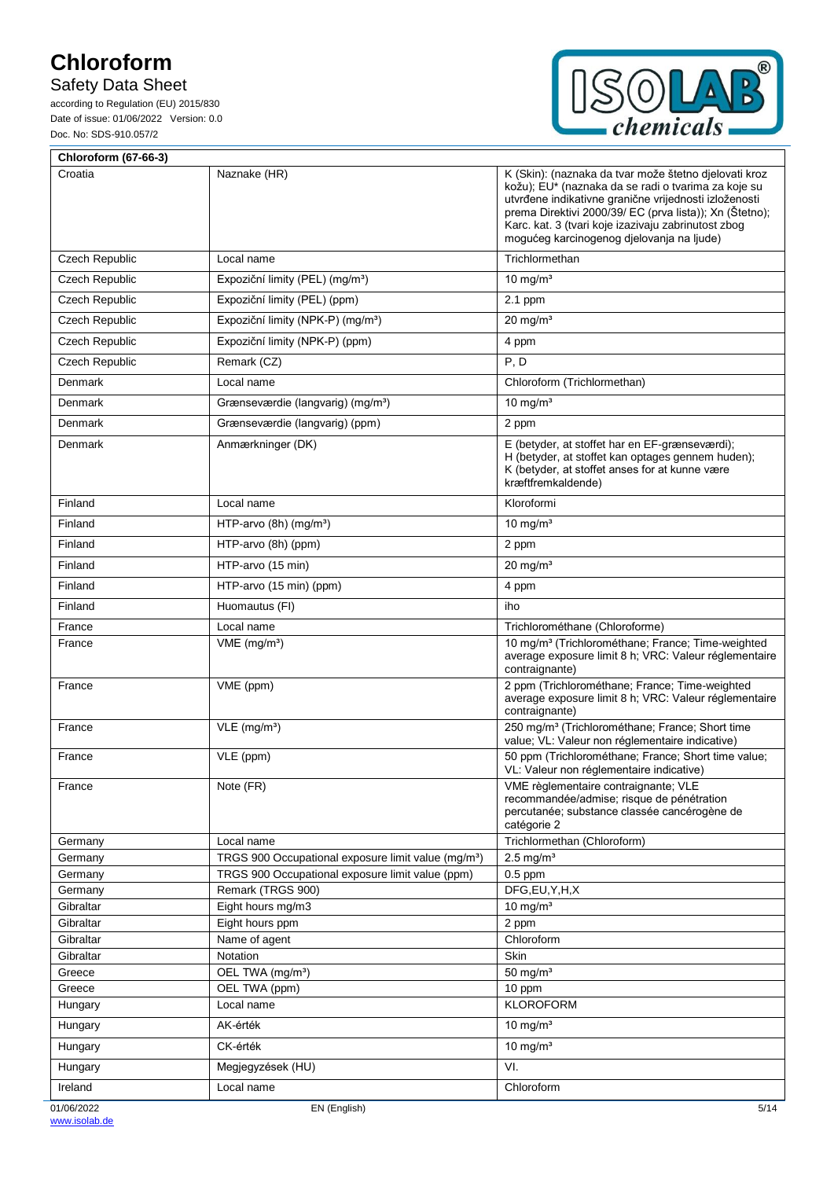# Safety Data Sheet



| <b>Chloroform (67-66-3)</b> |                                                                                                                     |                                                                                                                                                                                                                                                                                                                                      |
|-----------------------------|---------------------------------------------------------------------------------------------------------------------|--------------------------------------------------------------------------------------------------------------------------------------------------------------------------------------------------------------------------------------------------------------------------------------------------------------------------------------|
| Croatia                     | Naznake (HR)                                                                                                        | K (Skin): (naznaka da tvar može štetno djelovati kroz<br>kožu); EU* (naznaka da se radi o tvarima za koje su<br>utvrđene indikativne granične vrijednosti izloženosti<br>prema Direktivi 2000/39/ EC (prva lista)); Xn (Štetno);<br>Karc. kat. 3 (tvari koje izazivaju zabrinutost zbog<br>mogućeg karcinogenog djelovanja na ljude) |
| Czech Republic              | Local name                                                                                                          | Trichlormethan                                                                                                                                                                                                                                                                                                                       |
| <b>Czech Republic</b>       | Expoziční limity (PEL) (mg/m <sup>3</sup> )                                                                         | 10 mg/m <sup>3</sup>                                                                                                                                                                                                                                                                                                                 |
| <b>Czech Republic</b>       | Expoziční limity (PEL) (ppm)                                                                                        | 2.1 ppm                                                                                                                                                                                                                                                                                                                              |
| <b>Czech Republic</b>       | Expoziční limity (NPK-P) (mg/m <sup>3</sup> )                                                                       | $20 \text{ mg/m}^3$                                                                                                                                                                                                                                                                                                                  |
| Czech Republic              | Expoziční limity (NPK-P) (ppm)                                                                                      | 4 ppm                                                                                                                                                                                                                                                                                                                                |
| <b>Czech Republic</b>       | Remark (CZ)                                                                                                         | P, D                                                                                                                                                                                                                                                                                                                                 |
| Denmark                     | Local name                                                                                                          | Chloroform (Trichlormethan)                                                                                                                                                                                                                                                                                                          |
| Denmark                     | Grænseværdie (langvarig) (mg/m <sup>3</sup> )                                                                       | 10 mg/ $m3$                                                                                                                                                                                                                                                                                                                          |
| Denmark                     | Grænseværdie (langvarig) (ppm)                                                                                      | 2 ppm                                                                                                                                                                                                                                                                                                                                |
| Denmark                     | Anmærkninger (DK)                                                                                                   | E (betyder, at stoffet har en EF-grænseværdi);                                                                                                                                                                                                                                                                                       |
|                             |                                                                                                                     | H (betyder, at stoffet kan optages gennem huden);<br>K (betyder, at stoffet anses for at kunne være<br>kræftfremkaldende)                                                                                                                                                                                                            |
| Finland                     | Local name                                                                                                          | Kloroformi                                                                                                                                                                                                                                                                                                                           |
| Finland                     | HTP-arvo $(8h)$ (mg/m <sup>3</sup> )                                                                                | 10 mg/ $m3$                                                                                                                                                                                                                                                                                                                          |
| Finland                     | HTP-arvo (8h) (ppm)                                                                                                 | 2 ppm                                                                                                                                                                                                                                                                                                                                |
| Finland                     | HTP-arvo (15 min)                                                                                                   | $20 \text{ mg/m}^3$                                                                                                                                                                                                                                                                                                                  |
| Finland                     | HTP-arvo (15 min) (ppm)                                                                                             | 4 ppm                                                                                                                                                                                                                                                                                                                                |
| Finland                     | Huomautus (FI)                                                                                                      | iho                                                                                                                                                                                                                                                                                                                                  |
| France                      | Local name                                                                                                          | Trichlorométhane (Chloroforme)                                                                                                                                                                                                                                                                                                       |
| France                      | $VME$ (mg/m <sup>3</sup> )                                                                                          | 10 mg/m <sup>3</sup> (Trichlorométhane; France; Time-weighted<br>average exposure limit 8 h; VRC: Valeur réglementaire<br>contraignante)                                                                                                                                                                                             |
| France                      | VME (ppm)                                                                                                           | 2 ppm (Trichlorométhane; France; Time-weighted<br>average exposure limit 8 h; VRC: Valeur réglementaire<br>contraignante)                                                                                                                                                                                                            |
| France                      | $VLE$ (mg/m <sup>3</sup> )                                                                                          | 250 mg/m <sup>3</sup> (Trichlorométhane; France; Short time<br>value; VL: Valeur non réglementaire indicative)                                                                                                                                                                                                                       |
| France                      | VLE (ppm)                                                                                                           | 50 ppm (Trichlorométhane; France; Short time value;<br>VL: Valeur non réglementaire indicative)                                                                                                                                                                                                                                      |
| France                      | Note (FR)                                                                                                           | VME règlementaire contraignante; VLE<br>recommandée/admise: risque de pénétration<br>percutanée; substance classée cancérogène de<br>catégorie 2                                                                                                                                                                                     |
| Germany                     | Local name                                                                                                          | Trichlormethan (Chloroform)                                                                                                                                                                                                                                                                                                          |
| Germany<br>Germany          | TRGS 900 Occupational exposure limit value (mg/m <sup>3</sup> )<br>TRGS 900 Occupational exposure limit value (ppm) | $2.5$ mg/m <sup>3</sup><br>$0.5$ ppm                                                                                                                                                                                                                                                                                                 |
| Germany                     | Remark (TRGS 900)                                                                                                   | DFG,EU,Y,H,X                                                                                                                                                                                                                                                                                                                         |
| Gibraltar                   | Eight hours mg/m3                                                                                                   | 10 mg/ $m3$                                                                                                                                                                                                                                                                                                                          |
| Gibraltar                   | Eight hours ppm                                                                                                     | 2 ppm                                                                                                                                                                                                                                                                                                                                |
| Gibraltar                   | Name of agent                                                                                                       | Chloroform                                                                                                                                                                                                                                                                                                                           |
| Gibraltar                   | Notation                                                                                                            | Skin                                                                                                                                                                                                                                                                                                                                 |
| Greece                      | OEL TWA (mg/m <sup>3</sup> )                                                                                        | 50 mg/ $m3$                                                                                                                                                                                                                                                                                                                          |
| Greece                      | OEL TWA (ppm)<br>Local name                                                                                         | 10 ppm<br><b>KLOROFORM</b>                                                                                                                                                                                                                                                                                                           |
| Hungary                     | AK-érték                                                                                                            | 10 mg/m <sup>3</sup>                                                                                                                                                                                                                                                                                                                 |
| Hungary                     |                                                                                                                     |                                                                                                                                                                                                                                                                                                                                      |
| Hungary                     | CK-érték                                                                                                            | $10$ mg/m <sup>3</sup>                                                                                                                                                                                                                                                                                                               |
| Hungary                     | Megjegyzések (HU)                                                                                                   | VI.                                                                                                                                                                                                                                                                                                                                  |
| Ireland                     | Local name                                                                                                          | Chloroform                                                                                                                                                                                                                                                                                                                           |
| 01/06/2022                  | EN (English)                                                                                                        | 5/14                                                                                                                                                                                                                                                                                                                                 |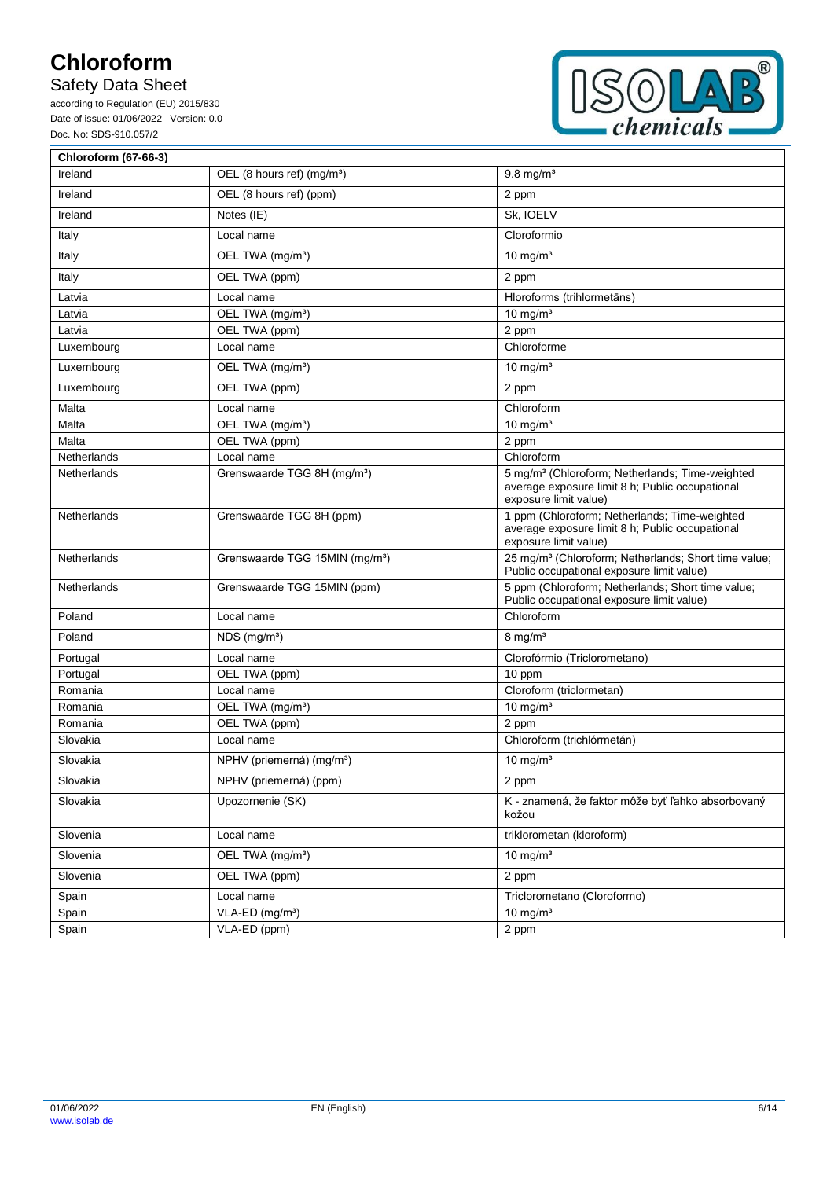# Safety Data Sheet



| <b>Chloroform (67-66-3)</b> |                                            |                                                                                                                                         |
|-----------------------------|--------------------------------------------|-----------------------------------------------------------------------------------------------------------------------------------------|
| Ireland                     | OEL (8 hours ref) (mg/m <sup>3</sup> )     | $9.8 \text{ mg/m}^3$                                                                                                                    |
| Ireland                     | OEL (8 hours ref) (ppm)                    | 2 ppm                                                                                                                                   |
| Ireland                     | Notes (IE)                                 | Sk, IOELV                                                                                                                               |
| Italy                       | Local name                                 | Cloroformio                                                                                                                             |
| Italy                       | OEL TWA (mg/m <sup>3</sup> )               | 10 mg/ $m3$                                                                                                                             |
| Italy                       | OEL TWA (ppm)                              | 2 ppm                                                                                                                                   |
| Latvia                      | Local name                                 | Hloroforms (trihlormetāns)                                                                                                              |
| Latvia                      | OEL TWA (mg/m <sup>3</sup> )               | 10 mg/ $m3$                                                                                                                             |
| Latvia                      | OEL TWA (ppm)                              | 2 ppm                                                                                                                                   |
| Luxembourg                  | Local name                                 | Chloroforme                                                                                                                             |
| Luxembourg                  | OEL TWA (mg/m <sup>3</sup> )               | 10 mg/ $m3$                                                                                                                             |
| Luxembourg                  | OEL TWA (ppm)                              | 2 ppm                                                                                                                                   |
| Malta                       | Local name                                 | Chloroform                                                                                                                              |
| Malta                       | OEL TWA (mg/m <sup>3</sup> )               | 10 mg/ $m3$                                                                                                                             |
| Malta                       | OEL TWA (ppm)                              | 2 ppm                                                                                                                                   |
| Netherlands                 | Local name                                 | Chloroform                                                                                                                              |
| Netherlands                 | Grenswaarde TGG 8H (mg/m <sup>3</sup> )    | 5 mg/m <sup>3</sup> (Chloroform; Netherlands; Time-weighted<br>average exposure limit 8 h; Public occupational<br>exposure limit value) |
| Netherlands                 | Grenswaarde TGG 8H (ppm)                   | 1 ppm (Chloroform; Netherlands; Time-weighted<br>average exposure limit 8 h; Public occupational<br>exposure limit value)               |
| Netherlands                 | Grenswaarde TGG 15MIN (mg/m <sup>3</sup> ) | 25 mg/m <sup>3</sup> (Chloroform; Netherlands; Short time value;<br>Public occupational exposure limit value)                           |
| Netherlands                 | Grenswaarde TGG 15MIN (ppm)                | 5 ppm (Chloroform; Netherlands; Short time value;<br>Public occupational exposure limit value)                                          |
| Poland                      | Local name                                 | Chloroform                                                                                                                              |
| Poland                      | $NDS$ (mg/m <sup>3</sup> )                 | $8 \text{ mg/m}^3$                                                                                                                      |
| Portugal                    | Local name                                 | Clorofórmio (Triclorometano)                                                                                                            |
| Portugal                    | OEL TWA (ppm)                              | 10 ppm                                                                                                                                  |
| Romania                     | Local name                                 | Cloroform (triclormetan)                                                                                                                |
| Romania                     | OEL TWA (mg/m <sup>3</sup> )               | 10 mg/ $m3$                                                                                                                             |
| Romania                     | OEL TWA (ppm)                              | 2 ppm                                                                                                                                   |
| Slovakia                    | Local name                                 | Chloroform (trichlórmetán)                                                                                                              |
| Slovakia                    | NPHV (priemerná) (mg/m <sup>3</sup> )      | 10 mg/ $m3$                                                                                                                             |
| Slovakia                    | NPHV (priemerná) (ppm)                     | 2 ppm                                                                                                                                   |
| Slovakia                    | Upozornenie (SK)                           | K - znamená, že faktor môže byť ľahko absorbovaný<br>kožou                                                                              |
| Slovenia                    | Local name                                 | triklorometan (kloroform)                                                                                                               |
| Slovenia                    | OEL TWA (mg/m <sup>3</sup> )               | 10 mg/m $\frac{1}{3}$                                                                                                                   |
| Slovenia                    | OEL TWA (ppm)                              | 2 ppm                                                                                                                                   |
| Spain                       | Local name                                 | Triclorometano (Cloroformo)                                                                                                             |
| Spain                       | VLA-ED (mg/m <sup>3</sup> )                | 10 mg/ $m3$                                                                                                                             |
| Spain                       | VLA-ED (ppm)                               | 2 ppm                                                                                                                                   |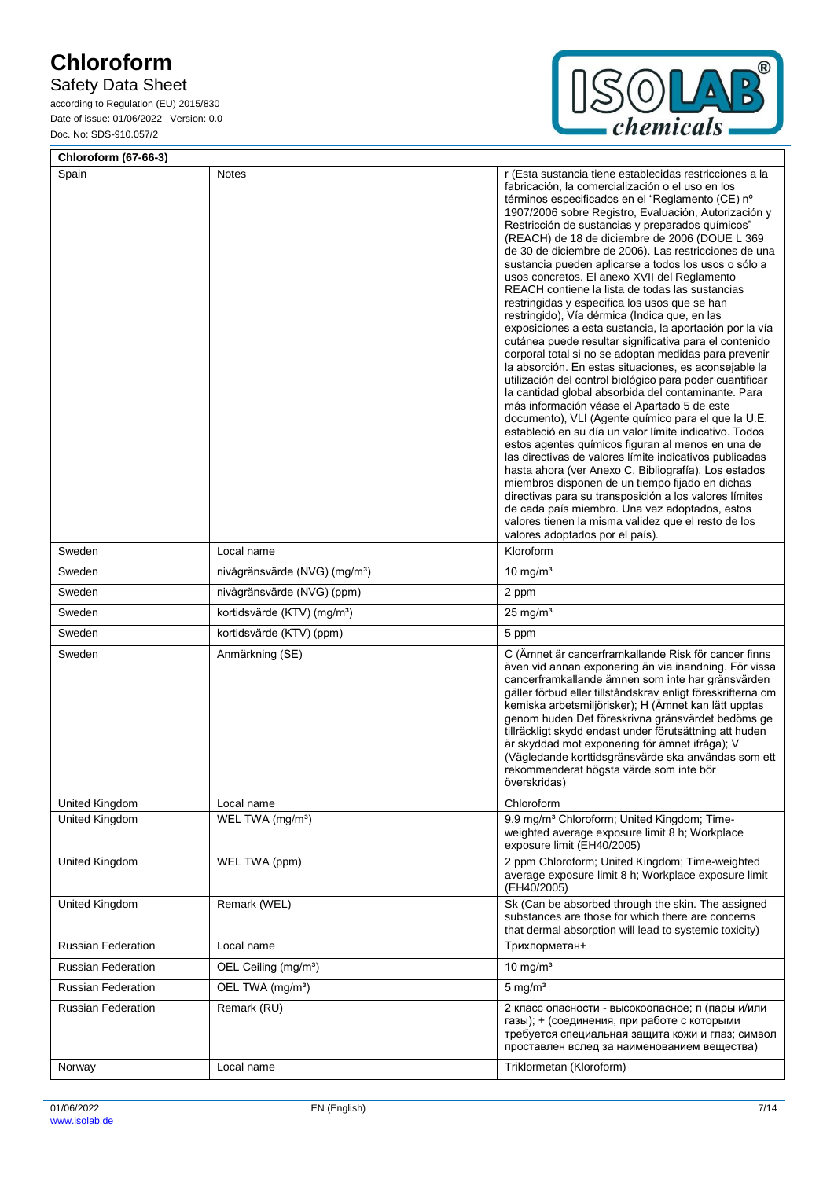# Safety Data Sheet



| <b>Chloroform (67-66-3)</b> |                                           |                                                                                                                                                                                                                                                                                                                                                                                                                                                                                                                                                                                                                                                                                                                                                                                                                                                                                                                                                                                                                                                                                                                                                                                                                                                                                                                                                                                                                                                                                                                                                                                                                |
|-----------------------------|-------------------------------------------|----------------------------------------------------------------------------------------------------------------------------------------------------------------------------------------------------------------------------------------------------------------------------------------------------------------------------------------------------------------------------------------------------------------------------------------------------------------------------------------------------------------------------------------------------------------------------------------------------------------------------------------------------------------------------------------------------------------------------------------------------------------------------------------------------------------------------------------------------------------------------------------------------------------------------------------------------------------------------------------------------------------------------------------------------------------------------------------------------------------------------------------------------------------------------------------------------------------------------------------------------------------------------------------------------------------------------------------------------------------------------------------------------------------------------------------------------------------------------------------------------------------------------------------------------------------------------------------------------------------|
| Spain                       | Notes                                     | r (Esta sustancia tiene establecidas restricciones a la<br>fabricación, la comercialización o el uso en los<br>términos especificados en el "Reglamento (CE) nº<br>1907/2006 sobre Registro, Evaluación, Autorización y<br>Restricción de sustancias y preparados químicos"<br>(REACH) de 18 de diciembre de 2006 (DOUE L 369<br>de 30 de diciembre de 2006). Las restricciones de una<br>sustancia pueden aplicarse a todos los usos o sólo a<br>usos concretos. El anexo XVII del Reglamento<br>REACH contiene la lista de todas las sustancias<br>restringidas y especifica los usos que se han<br>restringido), Vía dérmica (Indica que, en las<br>exposiciones a esta sustancia, la aportación por la vía<br>cutánea puede resultar significativa para el contenido<br>corporal total si no se adoptan medidas para prevenir<br>la absorción. En estas situaciones, es aconsejable la<br>utilización del control biológico para poder cuantificar<br>la cantidad global absorbida del contaminante. Para<br>más información véase el Apartado 5 de este<br>documento), VLI (Agente químico para el que la U.E.<br>estableció en su día un valor límite indicativo. Todos<br>estos agentes químicos figuran al menos en una de<br>las directivas de valores límite indicativos publicadas<br>hasta ahora (ver Anexo C. Bibliografía). Los estados<br>miembros disponen de un tiempo fijado en dichas<br>directivas para su transposición a los valores límites<br>de cada país miembro. Una vez adoptados, estos<br>valores tienen la misma validez que el resto de los<br>valores adoptados por el país). |
| Sweden                      | Local name                                | Kloroform                                                                                                                                                                                                                                                                                                                                                                                                                                                                                                                                                                                                                                                                                                                                                                                                                                                                                                                                                                                                                                                                                                                                                                                                                                                                                                                                                                                                                                                                                                                                                                                                      |
| Sweden                      | nivågränsvärde (NVG) (mg/m <sup>3</sup> ) | 10 mg/ $m3$                                                                                                                                                                                                                                                                                                                                                                                                                                                                                                                                                                                                                                                                                                                                                                                                                                                                                                                                                                                                                                                                                                                                                                                                                                                                                                                                                                                                                                                                                                                                                                                                    |
| Sweden                      | nivågränsvärde (NVG) (ppm)                | 2 ppm                                                                                                                                                                                                                                                                                                                                                                                                                                                                                                                                                                                                                                                                                                                                                                                                                                                                                                                                                                                                                                                                                                                                                                                                                                                                                                                                                                                                                                                                                                                                                                                                          |
| Sweden                      | kortidsvärde (KTV) (mg/m <sup>3</sup> )   | $25 \text{ mg/m}^3$                                                                                                                                                                                                                                                                                                                                                                                                                                                                                                                                                                                                                                                                                                                                                                                                                                                                                                                                                                                                                                                                                                                                                                                                                                                                                                                                                                                                                                                                                                                                                                                            |
| Sweden                      | kortidsvärde (KTV) (ppm)                  | 5 ppm                                                                                                                                                                                                                                                                                                                                                                                                                                                                                                                                                                                                                                                                                                                                                                                                                                                                                                                                                                                                                                                                                                                                                                                                                                                                                                                                                                                                                                                                                                                                                                                                          |
| Sweden                      | Anmärkning (SE)                           | C (Ämnet är cancerframkallande Risk för cancer finns<br>även vid annan exponering än via inandning. För vissa<br>cancerframkallande ämnen som inte har gränsvärden<br>gäller förbud eller tillståndskrav enligt föreskrifterna om<br>kemiska arbetsmiljörisker); H (Ämnet kan lätt upptas<br>genom huden Det föreskrivna gränsvärdet bedöms ge<br>tillräckligt skydd endast under förutsättning att huden<br>är skyddad mot exponering för ämnet ifråga); V<br>(Vägledande korttidsgränsvärde ska användas som ett<br>rekommenderat högsta värde som inte bör<br>överskridas)                                                                                                                                                                                                                                                                                                                                                                                                                                                                                                                                                                                                                                                                                                                                                                                                                                                                                                                                                                                                                                  |
| United Kingdom              | Local name                                | Chloroform                                                                                                                                                                                                                                                                                                                                                                                                                                                                                                                                                                                                                                                                                                                                                                                                                                                                                                                                                                                                                                                                                                                                                                                                                                                                                                                                                                                                                                                                                                                                                                                                     |
| United Kingdom              | WEL TWA (mg/m <sup>3</sup> )              | 9.9 mg/m <sup>3</sup> Chloroform; United Kingdom; Time-<br>weighted average exposure limit 8 h; Workplace<br>exposure limit (EH40/2005)                                                                                                                                                                                                                                                                                                                                                                                                                                                                                                                                                                                                                                                                                                                                                                                                                                                                                                                                                                                                                                                                                                                                                                                                                                                                                                                                                                                                                                                                        |
| United Kingdom              | WEL TWA (ppm)                             | 2 ppm Chloroform; United Kingdom; Time-weighted<br>average exposure limit 8 h; Workplace exposure limit<br>(EH40/2005)                                                                                                                                                                                                                                                                                                                                                                                                                                                                                                                                                                                                                                                                                                                                                                                                                                                                                                                                                                                                                                                                                                                                                                                                                                                                                                                                                                                                                                                                                         |
| United Kingdom              | Remark (WEL)                              | Sk (Can be absorbed through the skin. The assigned<br>substances are those for which there are concerns<br>that dermal absorption will lead to systemic toxicity)                                                                                                                                                                                                                                                                                                                                                                                                                                                                                                                                                                                                                                                                                                                                                                                                                                                                                                                                                                                                                                                                                                                                                                                                                                                                                                                                                                                                                                              |
| <b>Russian Federation</b>   | Local name                                | Трихлорметан+                                                                                                                                                                                                                                                                                                                                                                                                                                                                                                                                                                                                                                                                                                                                                                                                                                                                                                                                                                                                                                                                                                                                                                                                                                                                                                                                                                                                                                                                                                                                                                                                  |
| <b>Russian Federation</b>   | OEL Ceiling (mg/m <sup>3</sup> )          | 10 mg/ $m3$                                                                                                                                                                                                                                                                                                                                                                                                                                                                                                                                                                                                                                                                                                                                                                                                                                                                                                                                                                                                                                                                                                                                                                                                                                                                                                                                                                                                                                                                                                                                                                                                    |
| <b>Russian Federation</b>   | OEL TWA (mg/m <sup>3</sup> )              | $5$ mg/m <sup>3</sup>                                                                                                                                                                                                                                                                                                                                                                                                                                                                                                                                                                                                                                                                                                                                                                                                                                                                                                                                                                                                                                                                                                                                                                                                                                                                                                                                                                                                                                                                                                                                                                                          |
| Russian Federation          | Remark (RU)                               | 2 класс опасности - высокоопасное; п (пары и/или<br>газы); + (соединения, при работе с которыми<br>требуется специальная защита кожи и глаз; символ<br>проставлен вслед за наименованием вещества)                                                                                                                                                                                                                                                                                                                                                                                                                                                                                                                                                                                                                                                                                                                                                                                                                                                                                                                                                                                                                                                                                                                                                                                                                                                                                                                                                                                                             |
| Norway                      | Local name                                | Triklormetan (Kloroform)                                                                                                                                                                                                                                                                                                                                                                                                                                                                                                                                                                                                                                                                                                                                                                                                                                                                                                                                                                                                                                                                                                                                                                                                                                                                                                                                                                                                                                                                                                                                                                                       |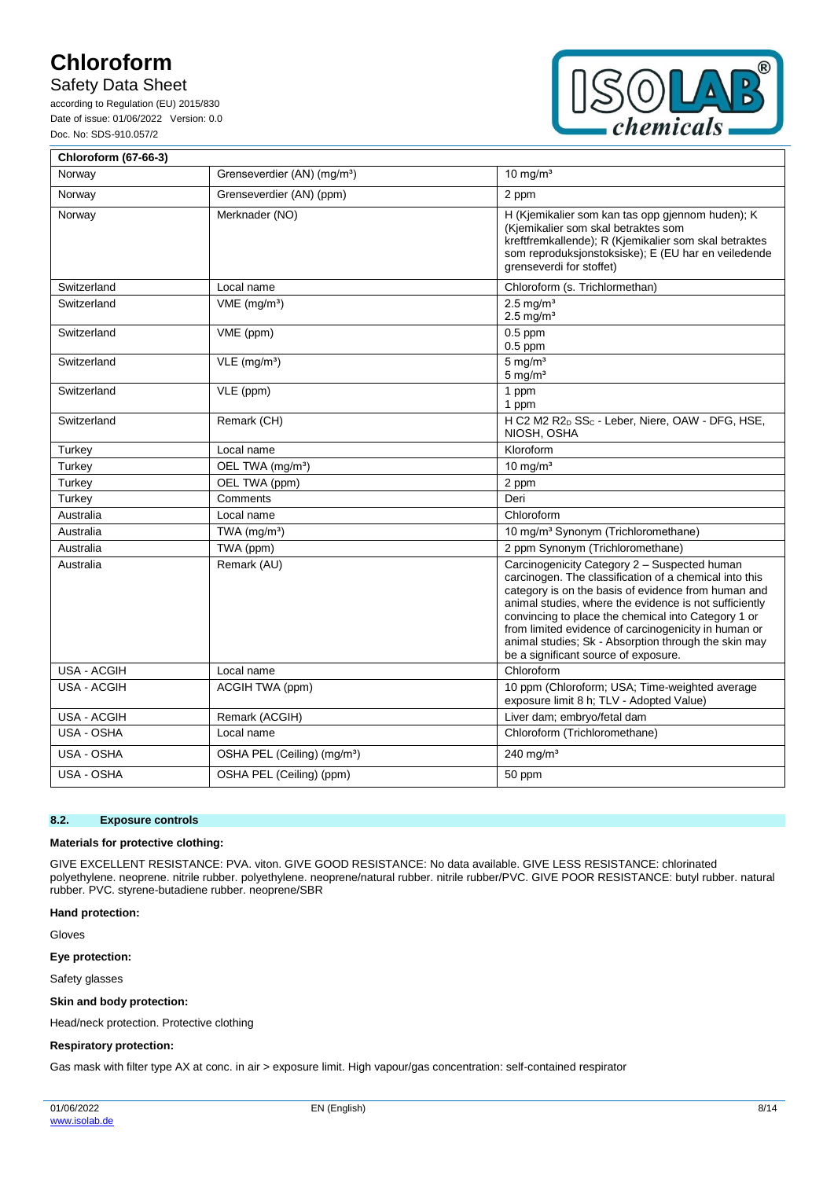## Safety Data Sheet

according to Regulation (EU) 2015/830 Date of issue: 01/06/2022 Version: 0.0 Doc. No: SDS-910.057/2



| Chloroform (67-66-3) |                                         |                                                                                                                                                                                                                                                                                                                                                                                                                                        |
|----------------------|-----------------------------------------|----------------------------------------------------------------------------------------------------------------------------------------------------------------------------------------------------------------------------------------------------------------------------------------------------------------------------------------------------------------------------------------------------------------------------------------|
| Norway               | Grenseverdier (AN) (mg/m <sup>3</sup> ) | 10 mg/ $m3$                                                                                                                                                                                                                                                                                                                                                                                                                            |
| Norway               | Grenseverdier (AN) (ppm)                | 2 ppm                                                                                                                                                                                                                                                                                                                                                                                                                                  |
| Norway               | Merknader (NO)                          | H (Kjemikalier som kan tas opp gjennom huden); K<br>(Kjemikalier som skal betraktes som<br>kreftfremkallende); R (Kjemikalier som skal betraktes<br>som reproduksjonstoksiske); E (EU har en veiledende<br>grenseverdi for stoffet)                                                                                                                                                                                                    |
| Switzerland          | Local name                              | Chloroform (s. Trichlormethan)                                                                                                                                                                                                                                                                                                                                                                                                         |
| Switzerland          | $VME$ (mg/m <sup>3</sup> )              | $2.5$ ma/m <sup>3</sup><br>$2.5 \text{ mg/m}^3$                                                                                                                                                                                                                                                                                                                                                                                        |
| Switzerland          | VME (ppm)                               | $0.5$ ppm<br>$0.5$ ppm                                                                                                                                                                                                                                                                                                                                                                                                                 |
| Switzerland          | $VLE$ (mg/m <sup>3</sup> )              | $5 \text{ mg/m}^3$<br>$5 \text{ mg/m}^3$                                                                                                                                                                                                                                                                                                                                                                                               |
| Switzerland          | VLE (ppm)                               | 1 ppm<br>1 ppm                                                                                                                                                                                                                                                                                                                                                                                                                         |
| Switzerland          | Remark (CH)                             | H C2 M2 R2 <sub>D</sub> SS <sub>C</sub> - Leber, Niere, OAW - DFG, HSE,<br>NIOSH, OSHA                                                                                                                                                                                                                                                                                                                                                 |
| Turkey               | Local name                              | Kloroform                                                                                                                                                                                                                                                                                                                                                                                                                              |
| Turkey               | OEL TWA (mg/m <sup>3</sup> )            | $10 \text{ mg/m}^3$                                                                                                                                                                                                                                                                                                                                                                                                                    |
| Turkey               | OEL TWA (ppm)                           | 2 ppm                                                                                                                                                                                                                                                                                                                                                                                                                                  |
| Turkey               | Comments                                | Deri                                                                                                                                                                                                                                                                                                                                                                                                                                   |
| Australia            | Local name                              | Chloroform                                                                                                                                                                                                                                                                                                                                                                                                                             |
| Australia            | TWA $(mg/m3)$                           | 10 mg/m <sup>3</sup> Synonym (Trichloromethane)                                                                                                                                                                                                                                                                                                                                                                                        |
| Australia            | TWA (ppm)                               | 2 ppm Synonym (Trichloromethane)                                                                                                                                                                                                                                                                                                                                                                                                       |
| Australia            | Remark (AU)                             | Carcinogenicity Category 2 - Suspected human<br>carcinogen. The classification of a chemical into this<br>category is on the basis of evidence from human and<br>animal studies, where the evidence is not sufficiently<br>convincing to place the chemical into Category 1 or<br>from limited evidence of carcinogenicity in human or<br>animal studies; Sk - Absorption through the skin may<br>be a significant source of exposure. |
| USA - ACGIH          | Local name                              | Chloroform                                                                                                                                                                                                                                                                                                                                                                                                                             |
| USA - ACGIH          | ACGIH TWA (ppm)                         | 10 ppm (Chloroform; USA; Time-weighted average<br>exposure limit 8 h; TLV - Adopted Value)                                                                                                                                                                                                                                                                                                                                             |
| USA - ACGIH          | Remark (ACGIH)                          | Liver dam; embryo/fetal dam                                                                                                                                                                                                                                                                                                                                                                                                            |
| USA - OSHA           | Local name                              | Chloroform (Trichloromethane)                                                                                                                                                                                                                                                                                                                                                                                                          |
| USA - OSHA           | OSHA PEL (Ceiling) (mg/m <sup>3</sup> ) | 240 mg/m <sup>3</sup>                                                                                                                                                                                                                                                                                                                                                                                                                  |
| USA - OSHA           | OSHA PEL (Ceiling) (ppm)                | 50 ppm                                                                                                                                                                                                                                                                                                                                                                                                                                 |

### **8.2. Exposure controls**

#### **Materials for protective clothing:**

GIVE EXCELLENT RESISTANCE: PVA. viton. GIVE GOOD RESISTANCE: No data available. GIVE LESS RESISTANCE: chlorinated polyethylene. neoprene. nitrile rubber. polyethylene. neoprene/natural rubber. nitrile rubber/PVC. GIVE POOR RESISTANCE: butyl rubber. natural rubber. PVC. styrene-butadiene rubber. neoprene/SBR

#### **Hand protection:**

Gloves

### **Eye protection:**

Safety glasses

#### **Skin and body protection:**

Head/neck protection. Protective clothing

#### **Respiratory protection:**

Gas mask with filter type AX at conc. in air > exposure limit. High vapour/gas concentration: self-contained respirator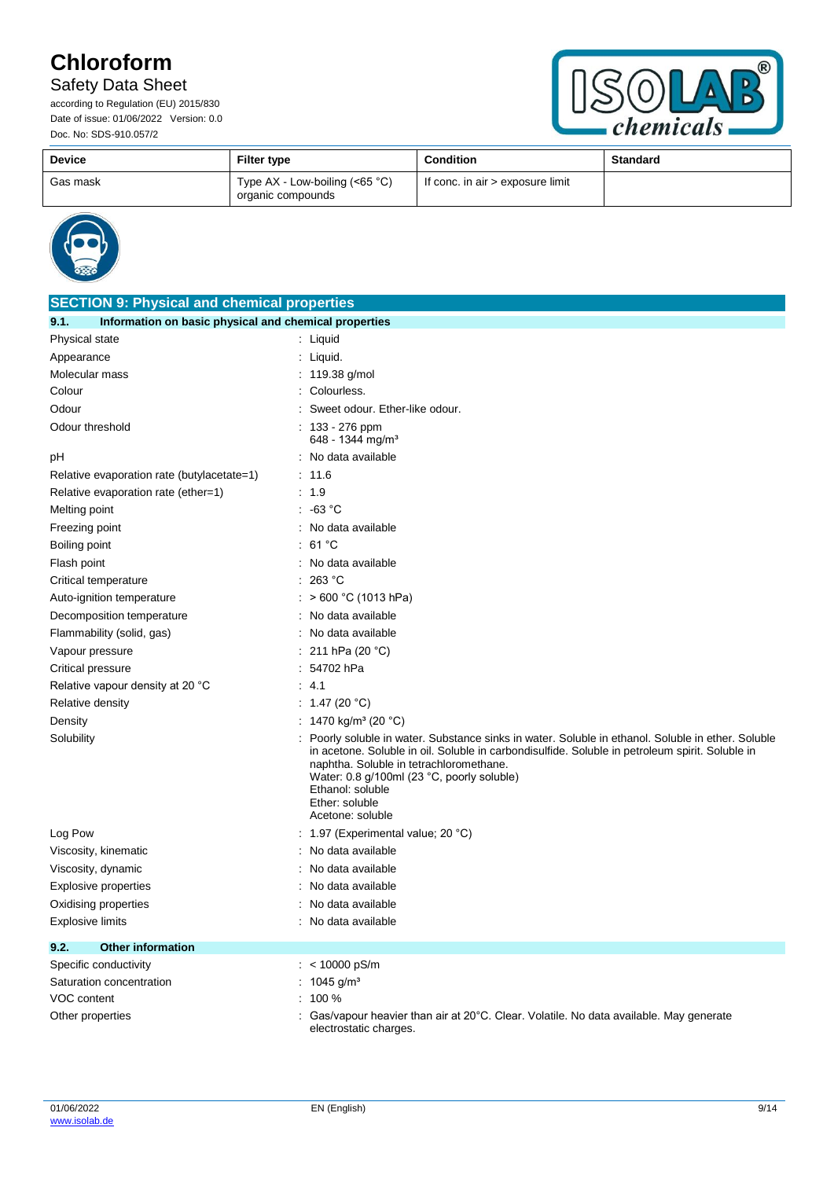# Safety Data Sheet



| <b>Device</b> | <b>Filter type</b>                                   | <b>Condition</b>                 | <b>Standard</b> |
|---------------|------------------------------------------------------|----------------------------------|-----------------|
| Gas mask      | Type AX - Low-boiling $(65 °C)$<br>organic compounds | If conc. in air > exposure limit |                 |



| <b>SECTION 9: Physical and chemical properties</b>            |                                                                                                                                                                                                                                                                                                                                                        |  |  |
|---------------------------------------------------------------|--------------------------------------------------------------------------------------------------------------------------------------------------------------------------------------------------------------------------------------------------------------------------------------------------------------------------------------------------------|--|--|
| Information on basic physical and chemical properties<br>9.1. |                                                                                                                                                                                                                                                                                                                                                        |  |  |
| Physical state                                                | $:$ Liquid                                                                                                                                                                                                                                                                                                                                             |  |  |
| Appearance                                                    | : Liquid.                                                                                                                                                                                                                                                                                                                                              |  |  |
| Molecular mass                                                | : 119.38 g/mol                                                                                                                                                                                                                                                                                                                                         |  |  |
| Colour                                                        | : Colourless.                                                                                                                                                                                                                                                                                                                                          |  |  |
| Odour                                                         | Sweet odour. Ether-like odour.                                                                                                                                                                                                                                                                                                                         |  |  |
| Odour threshold                                               | : $133 - 276$ ppm<br>648 - 1344 mg/m <sup>3</sup>                                                                                                                                                                                                                                                                                                      |  |  |
| рH                                                            | : No data available                                                                                                                                                                                                                                                                                                                                    |  |  |
| Relative evaporation rate (butylacetate=1)                    | : 11.6                                                                                                                                                                                                                                                                                                                                                 |  |  |
| Relative evaporation rate (ether=1)                           | : 1.9                                                                                                                                                                                                                                                                                                                                                  |  |  |
| Melting point                                                 | $: -63 °C$                                                                                                                                                                                                                                                                                                                                             |  |  |
| Freezing point                                                | : No data available                                                                                                                                                                                                                                                                                                                                    |  |  |
| Boiling point                                                 | 61 °C                                                                                                                                                                                                                                                                                                                                                  |  |  |
| Flash point                                                   | : No data available                                                                                                                                                                                                                                                                                                                                    |  |  |
| Critical temperature                                          | 263 °C                                                                                                                                                                                                                                                                                                                                                 |  |  |
| Auto-ignition temperature                                     | : $> 600 °C$ (1013 hPa)                                                                                                                                                                                                                                                                                                                                |  |  |
| Decomposition temperature                                     | No data available                                                                                                                                                                                                                                                                                                                                      |  |  |
| Flammability (solid, gas)                                     | No data available                                                                                                                                                                                                                                                                                                                                      |  |  |
| Vapour pressure                                               | : 211 hPa (20 $^{\circ}$ C)                                                                                                                                                                                                                                                                                                                            |  |  |
| Critical pressure                                             | $: 54702$ hPa                                                                                                                                                                                                                                                                                                                                          |  |  |
| Relative vapour density at 20 °C                              | -4.1<br>÷                                                                                                                                                                                                                                                                                                                                              |  |  |
| Relative density                                              | : $1.47(20 °C)$                                                                                                                                                                                                                                                                                                                                        |  |  |
| Density                                                       | 1470 kg/m <sup>3</sup> (20 °C)                                                                                                                                                                                                                                                                                                                         |  |  |
| Solubility                                                    | Poorly soluble in water. Substance sinks in water. Soluble in ethanol. Soluble in ether. Soluble<br>in acetone. Soluble in oil. Soluble in carbondisulfide. Soluble in petroleum spirit. Soluble in<br>naphtha. Soluble in tetrachloromethane.<br>Water: 0.8 g/100ml (23 °C, poorly soluble)<br>Ethanol: soluble<br>Ether: soluble<br>Acetone: soluble |  |  |
| Log Pow                                                       | 1.97 (Experimental value; 20 °C)                                                                                                                                                                                                                                                                                                                       |  |  |
| Viscosity, kinematic                                          | No data available                                                                                                                                                                                                                                                                                                                                      |  |  |
| Viscosity, dynamic                                            | No data available                                                                                                                                                                                                                                                                                                                                      |  |  |
| <b>Explosive properties</b>                                   | No data available                                                                                                                                                                                                                                                                                                                                      |  |  |
| Oxidising properties                                          | No data available                                                                                                                                                                                                                                                                                                                                      |  |  |
| Explosive limits                                              | No data available                                                                                                                                                                                                                                                                                                                                      |  |  |
| 9.2.<br><b>Other information</b>                              |                                                                                                                                                                                                                                                                                                                                                        |  |  |
| Specific conductivity                                         | : < $10000$ pS/m                                                                                                                                                                                                                                                                                                                                       |  |  |
| Saturation concentration                                      | 1045 g/m <sup>3</sup>                                                                                                                                                                                                                                                                                                                                  |  |  |
| VOC content                                                   | 100 %                                                                                                                                                                                                                                                                                                                                                  |  |  |
| Other properties                                              | Gas/vapour heavier than air at 20°C. Clear. Volatile. No data available. May generate<br>electrostatic charges.                                                                                                                                                                                                                                        |  |  |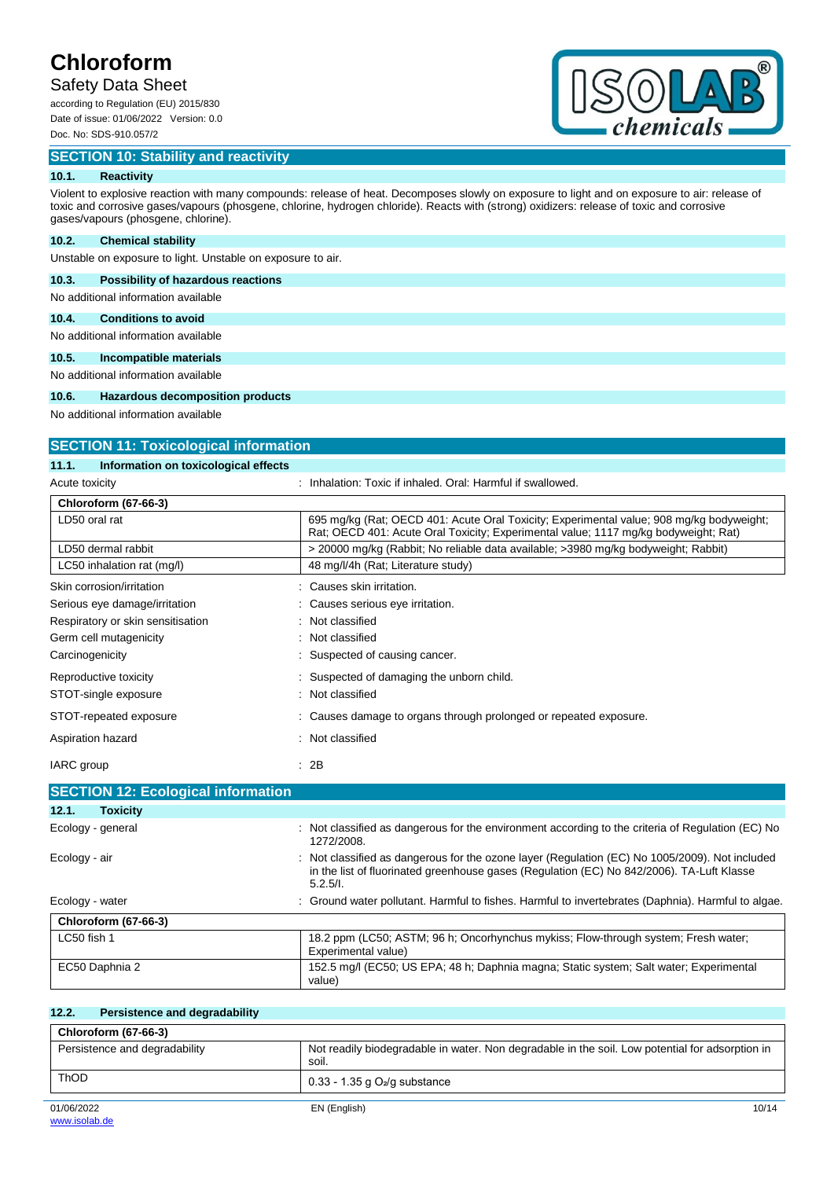# Safety Data Sheet

according to Regulation (EU) 2015/830 Date of issue: 01/06/2022 Version: 0.0 Doc. No: SDS-910.057/2

## **SECTION 10: Stability and reactivity**



## **10.1. Reactivity**

Violent to explosive reaction with many compounds: release of heat. Decomposes slowly on exposure to light and on exposure to air: release of toxic and corrosive gases/vapours (phosgene, chlorine, hydrogen chloride). Reacts with (strong) oxidizers: release of toxic and corrosive gases/vapours (phosgene, chlorine).

### **10.2. Chemical stability**

Unstable on exposure to light. Unstable on exposure to air.

## **10.3. Possibility of hazardous reactions**

No additional information available

## **10.4. Conditions to avoid**

No additional information available

### **10.5. Incompatible materials**

No additional information available

### **10.6. Hazardous decomposition products**

No additional information available

**SECTION 11: Toxicological information**

| SECTION TT: TOXICOlOGICAL INTOITIATION        |                                                                                                                                                                                                       |  |  |
|-----------------------------------------------|-------------------------------------------------------------------------------------------------------------------------------------------------------------------------------------------------------|--|--|
| 11.1.<br>Information on toxicological effects |                                                                                                                                                                                                       |  |  |
| Acute toxicity                                | Inhalation: Toxic if inhaled. Oral: Harmful if swallowed.                                                                                                                                             |  |  |
| <b>Chloroform (67-66-3)</b>                   |                                                                                                                                                                                                       |  |  |
| LD50 oral rat                                 | 695 mg/kg (Rat: OECD 401: Acute Oral Toxicity: Experimental value: 908 mg/kg bodyweight:<br>Rat; OECD 401: Acute Oral Toxicity; Experimental value; 1117 mg/kg bodyweight; Rat)                       |  |  |
| LD50 dermal rabbit                            | > 20000 mg/kg (Rabbit; No reliable data available; >3980 mg/kg bodyweight; Rabbit)                                                                                                                    |  |  |
| LC50 inhalation rat (mg/l)                    | 48 mg/l/4h (Rat; Literature study)                                                                                                                                                                    |  |  |
| Skin corrosion/irritation                     | Causes skin irritation.                                                                                                                                                                               |  |  |
| Serious eye damage/irritation                 | Causes serious eye irritation.                                                                                                                                                                        |  |  |
| Respiratory or skin sensitisation             | Not classified                                                                                                                                                                                        |  |  |
| Germ cell mutagenicity                        | Not classified                                                                                                                                                                                        |  |  |
| Carcinogenicity                               | Suspected of causing cancer.                                                                                                                                                                          |  |  |
| Reproductive toxicity                         | Suspected of damaging the unborn child.                                                                                                                                                               |  |  |
| STOT-single exposure                          | Not classified                                                                                                                                                                                        |  |  |
| STOT-repeated exposure                        | Causes damage to organs through prolonged or repeated exposure.                                                                                                                                       |  |  |
| Aspiration hazard                             | : Not classified                                                                                                                                                                                      |  |  |
| IARC group                                    | : 2B                                                                                                                                                                                                  |  |  |
| <b>SECTION 12: Ecological information</b>     |                                                                                                                                                                                                       |  |  |
| 12.1.<br><b>Toxicity</b>                      |                                                                                                                                                                                                       |  |  |
| Ecology - general                             | Not classified as dangerous for the environment according to the criteria of Regulation (EC) No<br>1272/2008.                                                                                         |  |  |
| Ecology - air                                 | Not classified as dangerous for the ozone layer (Regulation (EC) No 1005/2009). Not included<br>in the list of fluorinated greenhouse gases (Regulation (EC) No 842/2006). TA-Luft Klasse<br>5.2.5/l. |  |  |

| Ecology - water             | : Ground water pollutant. Harmful to fishes. Harmful to invertebrates (Daphnia). Harmful to algae.        |
|-----------------------------|-----------------------------------------------------------------------------------------------------------|
| <b>Chloroform (67-66-3)</b> |                                                                                                           |
| LC50 fish 1                 | 18.2 ppm (LC50; ASTM; 96 h; Oncorhynchus mykiss; Flow-through system; Fresh water;<br>Experimental value) |
| EC50 Daphnia 2              | 152.5 mg/l (EC50; US EPA; 48 h; Daphnia magna; Static system; Salt water; Experimental<br>value)          |

| 12.2.<br>Persistence and degradability |                                                                                                          |
|----------------------------------------|----------------------------------------------------------------------------------------------------------|
| <b>Chloroform (67-66-3)</b>            |                                                                                                          |
| Persistence and degradability          | Not readily biodegradable in water. Non degradable in the soil. Low potential for adsorption in<br>soil. |
| <b>ThOD</b>                            | $0.33 - 1.35$ g $O2/g$ substance                                                                         |
| 01/06/2022                             | 10/14<br>EN (English)                                                                                    |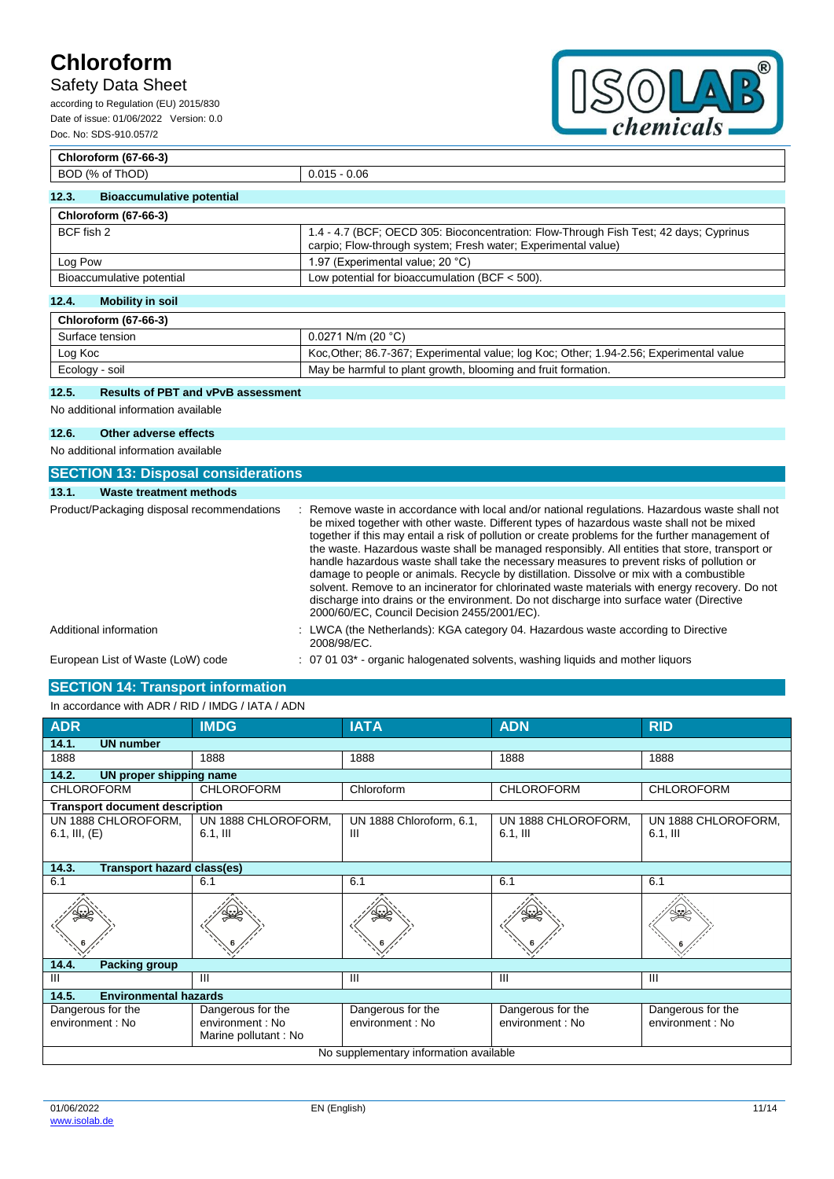## Safety Data Sheet

according to Regulation (EU) 2015/830 Date of issue: 01/06/2022 Version: 0.0 Doc. No: SDS-910.057/2



## **Chloroform (67-66-3)** BOD (% of ThOD) 0.015 - 0.06 **12.3. Bioaccumulative potential Chloroform (67-66-3)** BCF fish 2 1.4 - 4.7 (BCF; OECD 305: Bioconcentration: Flow-Through Fish Test; 42 days; Cyprinus carpio; Flow-through system; Fresh water; Experimental value) Log Pow  $\vert$  1.97 (Experimental value; 20 °C) Bioaccumulative potential Low potential for bioaccumulation (BCF < 500).

## **12.4. Mobility in soil**

| Chloroform (67-66-3) |                                                                                         |
|----------------------|-----------------------------------------------------------------------------------------|
| Surface tension      | $0.0271$ N/m (20 °C)                                                                    |
| Log Koc              | Koc, Other; 86.7-367; Experimental value; log Koc; Other; 1.94-2.56; Experimental value |
| Ecology - soil       | May be harmful to plant growth, blooming and fruit formation.                           |

## **12.5. Results of PBT and vPvB assessment**

No additional information available

### **12.6. Other adverse effects**

No additional information available

| <b>SECTION 13: Disposal considerations</b> |                                                                                                                                                                                                                                                                                                                                                                                                                                                                                                                                                                                                                                                                                                                                                                                                                                         |
|--------------------------------------------|-----------------------------------------------------------------------------------------------------------------------------------------------------------------------------------------------------------------------------------------------------------------------------------------------------------------------------------------------------------------------------------------------------------------------------------------------------------------------------------------------------------------------------------------------------------------------------------------------------------------------------------------------------------------------------------------------------------------------------------------------------------------------------------------------------------------------------------------|
| Waste treatment methods<br>13.1.           |                                                                                                                                                                                                                                                                                                                                                                                                                                                                                                                                                                                                                                                                                                                                                                                                                                         |
| Product/Packaging disposal recommendations | : Remove waste in accordance with local and/or national regulations. Hazardous waste shall not<br>be mixed together with other waste. Different types of hazardous waste shall not be mixed<br>together if this may entail a risk of pollution or create problems for the further management of<br>the waste. Hazardous waste shall be managed responsibly. All entities that store, transport or<br>handle hazardous waste shall take the necessary measures to prevent risks of pollution or<br>damage to people or animals. Recycle by distillation. Dissolve or mix with a combustible<br>solvent. Remove to an incinerator for chlorinated waste materials with energy recovery. Do not<br>discharge into drains or the environment. Do not discharge into surface water (Directive<br>2000/60/EC, Council Decision 2455/2001/EC). |
| Additional information                     | : LWCA (the Netherlands): KGA category 04. Hazardous waste according to Directive<br>2008/98/EC.                                                                                                                                                                                                                                                                                                                                                                                                                                                                                                                                                                                                                                                                                                                                        |
| European List of Waste (LoW) code          | : 07 01 03 <sup>*</sup> - organic halogenated solvents, washing liquids and mother liquors                                                                                                                                                                                                                                                                                                                                                                                                                                                                                                                                                                                                                                                                                                                                              |

## **SECTION 14: Transport information**

| In accordance with ADR / RID / IMDG / IATA / ADN |                                                               |                                       |                                      |                                       |
|--------------------------------------------------|---------------------------------------------------------------|---------------------------------------|--------------------------------------|---------------------------------------|
| <b>ADR</b>                                       | <b>IMDG</b>                                                   | <b>IATA</b>                           | <b>ADN</b>                           | <b>RID</b>                            |
| 14.1.<br><b>UN number</b>                        |                                                               |                                       |                                      |                                       |
| 1888                                             | 1888                                                          | 1888                                  | 1888                                 | 1888                                  |
| 14.2.<br>UN proper shipping name                 |                                                               |                                       |                                      |                                       |
| <b>CHLOROFORM</b>                                | <b>CHLOROFORM</b>                                             | Chloroform                            | <b>CHLOROFORM</b>                    | <b>CHLOROFORM</b>                     |
| <b>Transport document description</b>            |                                                               |                                       |                                      |                                       |
| UN 1888 CHLOROFORM,<br>6.1, III, $(E)$           | UN 1888 CHLOROFORM,<br>$6.1$ , III                            | UN 1888 Chloroform, 6.1,<br>Ш         | UN 1888 CHLOROFORM,<br>$6.1$ , III   | UN 1888 CHLOROFORM,<br>$6.1,$ III     |
| 14.3.<br><b>Transport hazard class(es)</b>       |                                                               |                                       |                                      |                                       |
| 6.1                                              | 6.1                                                           | 6.1                                   | 6.1                                  | 6.1                                   |
|                                                  |                                                               |                                       |                                      |                                       |
| 14.4.<br><b>Packing group</b>                    |                                                               |                                       |                                      |                                       |
| III                                              | Ш                                                             | $\mathbf{III}$                        | III                                  | Ш                                     |
| 14.5.<br><b>Environmental hazards</b>            |                                                               |                                       |                                      |                                       |
| Dangerous for the<br>environment : No            | Dangerous for the<br>environment : No<br>Marine pollutant: No | Dangerous for the<br>environment : No | Dangerous for the<br>environment: No | Dangerous for the<br>environment : No |
| No supplementary information available           |                                                               |                                       |                                      |                                       |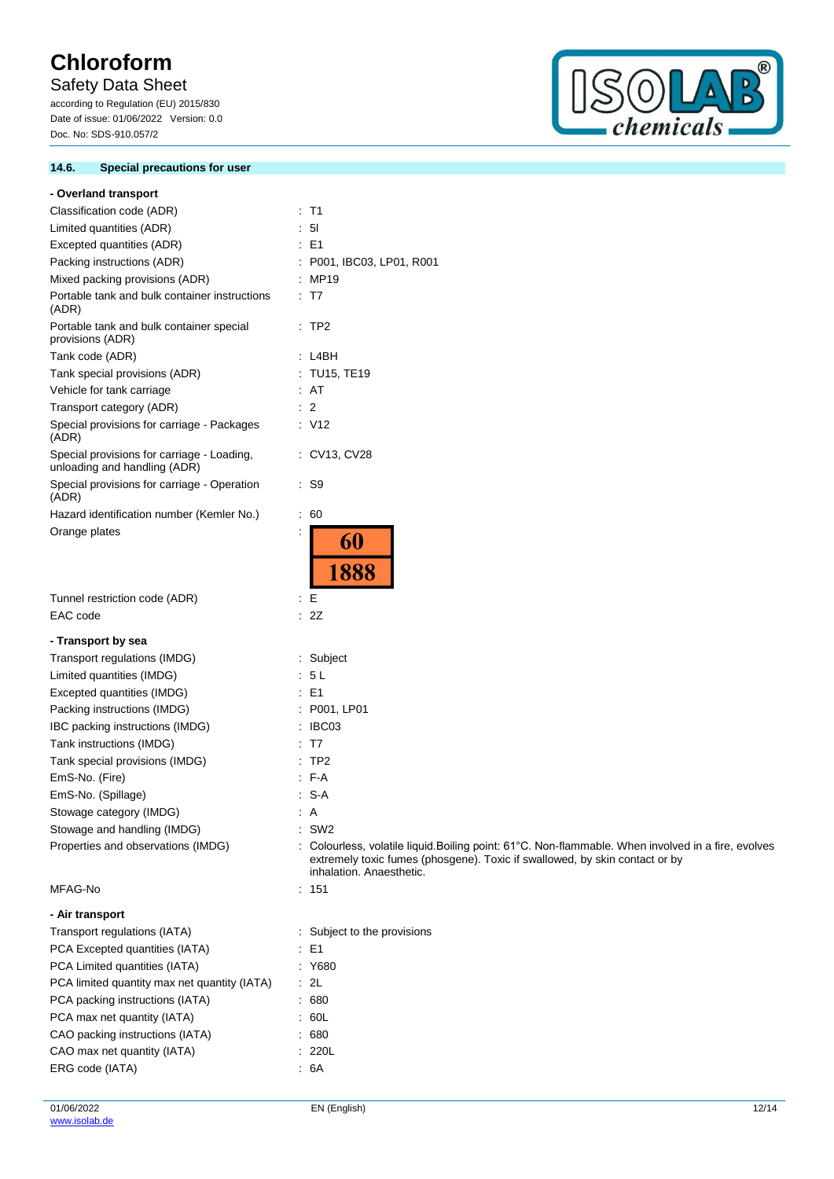# Safety Data Sheet

according to Regulation (EU) 2015/830 Date of issue: 01/06/2022 Version: 0.0 Doc. No: SDS-910.057/2

## **14.6. Special precautions for user**



| - Overland transport                                                       |                                                                                                                                                                                                                |
|----------------------------------------------------------------------------|----------------------------------------------------------------------------------------------------------------------------------------------------------------------------------------------------------------|
| Classification code (ADR)                                                  | : T1                                                                                                                                                                                                           |
| Limited quantities (ADR)                                                   | 5 <sub>l</sub>                                                                                                                                                                                                 |
| Excepted quantities (ADR)                                                  | $\therefore$ E1                                                                                                                                                                                                |
| Packing instructions (ADR)                                                 | : P001, IBC03, LP01, R001                                                                                                                                                                                      |
| Mixed packing provisions (ADR)                                             | : MP19                                                                                                                                                                                                         |
| Portable tank and bulk container instructions<br>(ADR)                     | $\therefore$ T7                                                                                                                                                                                                |
| Portable tank and bulk container special<br>provisions (ADR)               | $\therefore$ TP2                                                                                                                                                                                               |
| Tank code (ADR)                                                            | : L4BH                                                                                                                                                                                                         |
| Tank special provisions (ADR)                                              | : TU15, TE19                                                                                                                                                                                                   |
| Vehicle for tank carriage                                                  | : AT                                                                                                                                                                                                           |
| Transport category (ADR)                                                   | $\therefore$ 2                                                                                                                                                                                                 |
| Special provisions for carriage - Packages<br>(ADR)                        | $\therefore$ V12                                                                                                                                                                                               |
| Special provisions for carriage - Loading,<br>unloading and handling (ADR) | : CV13, CV28                                                                                                                                                                                                   |
| Special provisions for carriage - Operation<br>(ADR)                       | : S9                                                                                                                                                                                                           |
| Hazard identification number (Kemler No.)                                  | $\therefore 60$                                                                                                                                                                                                |
| Orange plates                                                              | ÷<br>60<br>1888                                                                                                                                                                                                |
| Tunnel restriction code (ADR)                                              | ÷Е                                                                                                                                                                                                             |
| EAC code                                                                   | : 2Z                                                                                                                                                                                                           |
|                                                                            |                                                                                                                                                                                                                |
| - Transport by sea                                                         |                                                                                                                                                                                                                |
| Transport regulations (IMDG)                                               | Subject<br>: 5L                                                                                                                                                                                                |
| Limited quantities (IMDG)<br>Excepted quantities (IMDG)                    | $\therefore$ E1                                                                                                                                                                                                |
| Packing instructions (IMDG)                                                | : P001, LP01                                                                                                                                                                                                   |
| IBC packing instructions (IMDG)                                            | IBC03                                                                                                                                                                                                          |
| Tank instructions (IMDG)                                                   | T7                                                                                                                                                                                                             |
| Tank special provisions (IMDG)                                             | TP <sub>2</sub>                                                                                                                                                                                                |
| EmS-No. (Fire)                                                             | $-F-A$                                                                                                                                                                                                         |
| EmS-No. (Spillage)                                                         | S-A                                                                                                                                                                                                            |
| Stowage category (IMDG)                                                    | $\therefore$ A                                                                                                                                                                                                 |
| Stowage and handling (IMDG)                                                | $:$ SW2                                                                                                                                                                                                        |
| Properties and observations (IMDG)                                         | : Colourless, volatile liquid. Boiling point: 61°C. Non-flammable. When involved in a fire, evolves<br>extremely toxic fumes (phosgene). Toxic if swallowed, by skin contact or by<br>inhalation. Anaesthetic. |
| MFAG-No                                                                    | : 151                                                                                                                                                                                                          |
| - Air transport                                                            |                                                                                                                                                                                                                |
| Transport regulations (IATA)                                               | : Subject to the provisions                                                                                                                                                                                    |
| PCA Excepted quantities (IATA)                                             | $\therefore$ E1                                                                                                                                                                                                |
| PCA Limited quantities (IATA)                                              | : Y680                                                                                                                                                                                                         |
| PCA limited quantity max net quantity (IATA)                               | $\cdot$ 2L                                                                                                                                                                                                     |
| PCA packing instructions (IATA)                                            | .680                                                                                                                                                                                                           |
| PCA max net quantity (IATA)                                                | .60L                                                                                                                                                                                                           |
| CAO packing instructions (IATA)                                            | .680                                                                                                                                                                                                           |
| CAO max net quantity (IATA)                                                | : 220L                                                                                                                                                                                                         |
| ERG code (IATA)                                                            | .6A                                                                                                                                                                                                            |
|                                                                            |                                                                                                                                                                                                                |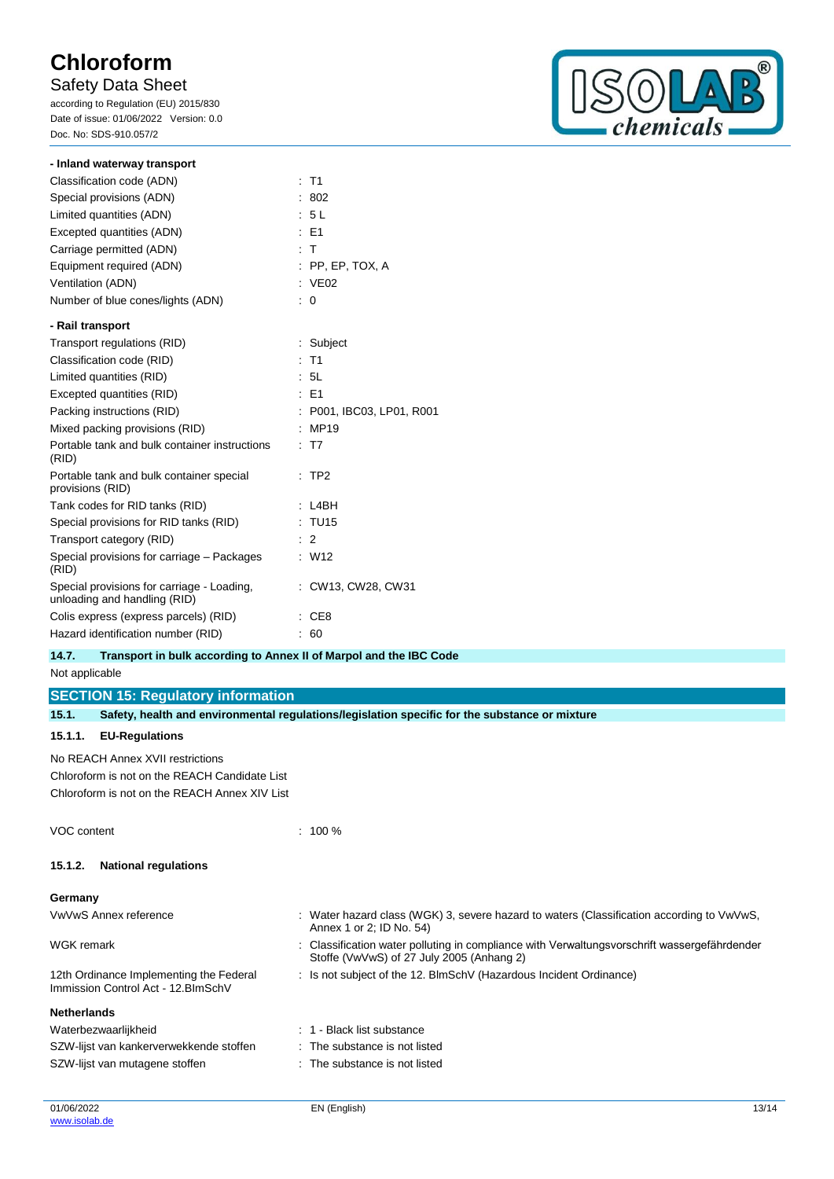## Safety Data Sheet

according to Regulation (EU) 2015/830 Date of issue: 01/06/2022 Version: 0.0 Doc. No: SDS-910.057/2



| - Inland waterway transport                                                |                         |
|----------------------------------------------------------------------------|-------------------------|
| Classification code (ADN)                                                  | $:$ T1                  |
| Special provisions (ADN)                                                   | 802                     |
| Limited quantities (ADN)                                                   | : 5L                    |
| Excepted quantities (ADN)                                                  | $E = F1$                |
| Carriage permitted (ADN)                                                   | $\pm$ T                 |
| Equipment required (ADN)                                                   | $:$ PP, EP, TOX, A      |
| Ventilation (ADN)                                                          | : VE02                  |
| Number of blue cones/lights (ADN)                                          | 0                       |
| - Rail transport                                                           |                         |
| Transport regulations (RID)                                                | : Subject               |
| Classification code (RID)                                                  | $:$ T1                  |
| Limited quantities (RID)                                                   | : 5L                    |
| Excepted quantities (RID)                                                  | $E = 51$                |
| Packing instructions (RID)                                                 | P001, IBC03, LP01, R001 |
| Mixed packing provisions (RID)                                             | MP19                    |
| Portable tank and bulk container instructions<br>(RID)                     | T <sub>7</sub>          |
| Portable tank and bulk container special<br>provisions (RID)               | TP <sub>2</sub>         |
| Tank codes for RID tanks (RID)                                             | L4BH                    |
| Special provisions for RID tanks (RID)                                     | : TU15                  |
| Transport category (RID)                                                   | $\therefore$ 2          |
| Special provisions for carriage - Packages<br>(RID)                        | : W12                   |
| Special provisions for carriage - Loading,<br>unloading and handling (RID) | : CW13, CW28, CW31      |
| Colis express (express parcels) (RID)                                      | CE <sub>8</sub>         |
| Hazard identification number (RID)                                         | 60                      |

## **14.7. Transport in bulk according to Annex II of Marpol and the IBC Code**

Not applicable

**SECTION 15: Regulatory information**

| 15.1.                                                                          |                                               | Safety, health and environmental regulations/legislation specific for the substance or mixture                                            |
|--------------------------------------------------------------------------------|-----------------------------------------------|-------------------------------------------------------------------------------------------------------------------------------------------|
| 15.1.1.                                                                        | <b>EU-Regulations</b>                         |                                                                                                                                           |
|                                                                                | No REACH Annex XVII restrictions              |                                                                                                                                           |
|                                                                                | Chloroform is not on the REACH Candidate List |                                                                                                                                           |
|                                                                                | Chloroform is not on the REACH Annex XIV List |                                                                                                                                           |
| VOC content                                                                    |                                               | $: 100 \%$                                                                                                                                |
| 15.1.2.                                                                        | <b>National regulations</b>                   |                                                                                                                                           |
| Germany                                                                        |                                               |                                                                                                                                           |
|                                                                                | VwVwS Annex reference                         | : Water hazard class (WGK) 3, severe hazard to waters (Classification according to VwVwS,<br>Annex 1 or 2; ID No. 54)                     |
| <b>WGK</b> remark                                                              |                                               | : Classification water polluting in compliance with Verwaltungsvorschrift wassergefährdender<br>Stoffe (VwVwS) of 27 July 2005 (Anhang 2) |
| 12th Ordinance Implementing the Federal<br>Immission Control Act - 12. BlmSchV |                                               | : Is not subject of the 12. BlmSchV (Hazardous Incident Ordinance)                                                                        |
| <b>Netherlands</b>                                                             |                                               |                                                                                                                                           |
|                                                                                | Waterbezwaarlijkheid                          | : 1 - Black list substance                                                                                                                |
|                                                                                | SZW-lijst van kankerverwekkende stoffen       | : The substance is not listed                                                                                                             |
| SZW-lijst van mutagene stoffen                                                 |                                               | : The substance is not listed                                                                                                             |